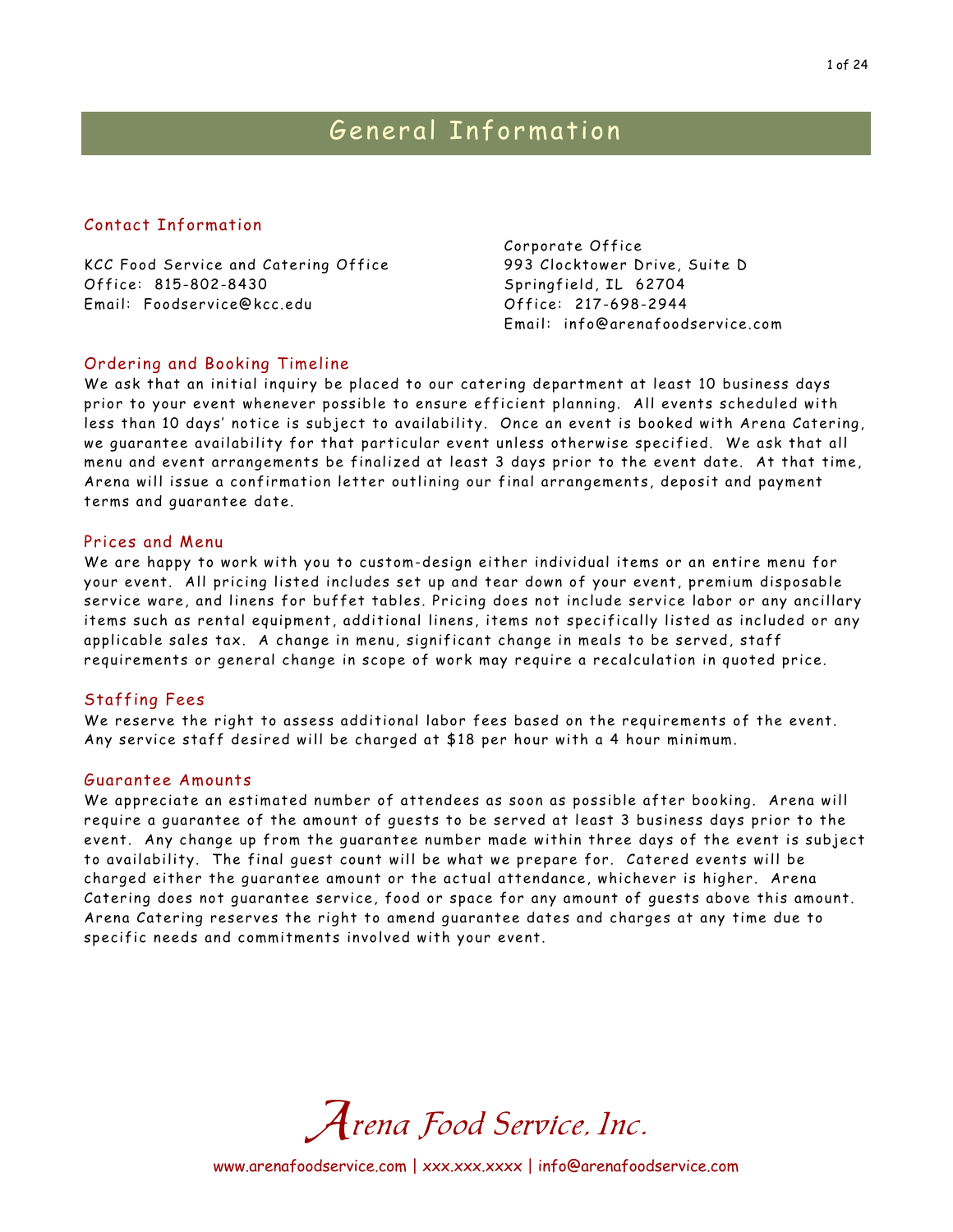#### Contact Information

KCC Food Service and Catering Office Office: 815-802-8430 Email: Foodservice@kcc.edu

Corporate Office 993 Clocktower Drive, Suite D Springfield, IL 62704 Office: 217-698-2944 Email: info@arenafoodservice.com

#### Ordering and Booking Timeline

We ask that an initial inquiry be placed to our catering department at least 10 business days prior to your event whenever possible to ensure efficient planning. All events scheduled with less than 10 days' notice is subject to availability. Once an event is booked with Arena Catering, we guarantee availability for that particular event unless otherwise specified. We ask that all menu and event arrangements be finalized at least 3 days prior to the event date. At that time, Arena will issue a confirmation letter outlining our final arrangements, deposit and payment terms and guarantee date.

#### Prices and Menu

We are happy to work with you to custom-design either individual items or an entire menu for your event. All pricing listed includes set up and tear down of your event, premium disposable service ware, and linens for buffet tables. Pricing does not include service labor or any ancillary items such as rental equipment, additional linens, items not specifically listed as included or any applicable sales tax. A change in menu, significant change in meals to be served, staff requirements or general change in scope of work may require a recalculation in quoted price.

#### Staffing Fees

We reserve the right to assess additional labor fees based on the requirements of the event. Any service staff desired will be charged at \$18 per hour with a 4 hour minimum.

#### Guarantee Amounts

We appreciate an estimated number of attendees as soon as possible after booking. Arena will require a guarantee of the amount of guests to be served at least 3 business days prior to the event. Any change up from the guarantee number made within three days of the event is subject to availability. The final guest count will be what we prepare for. Catered events will be charged either the guarantee amount or the actual attendance, whichever is higher. Arena Catering does not guarantee service, food or space for any amount of guests above this amount. Arena Catering reserves the right to amend guarantee dates and charges at any time due to specific needs and commitments involved with your event.



www.arenafoodservice.com | xxx.xxx.xxx | info@arenafoodservice.com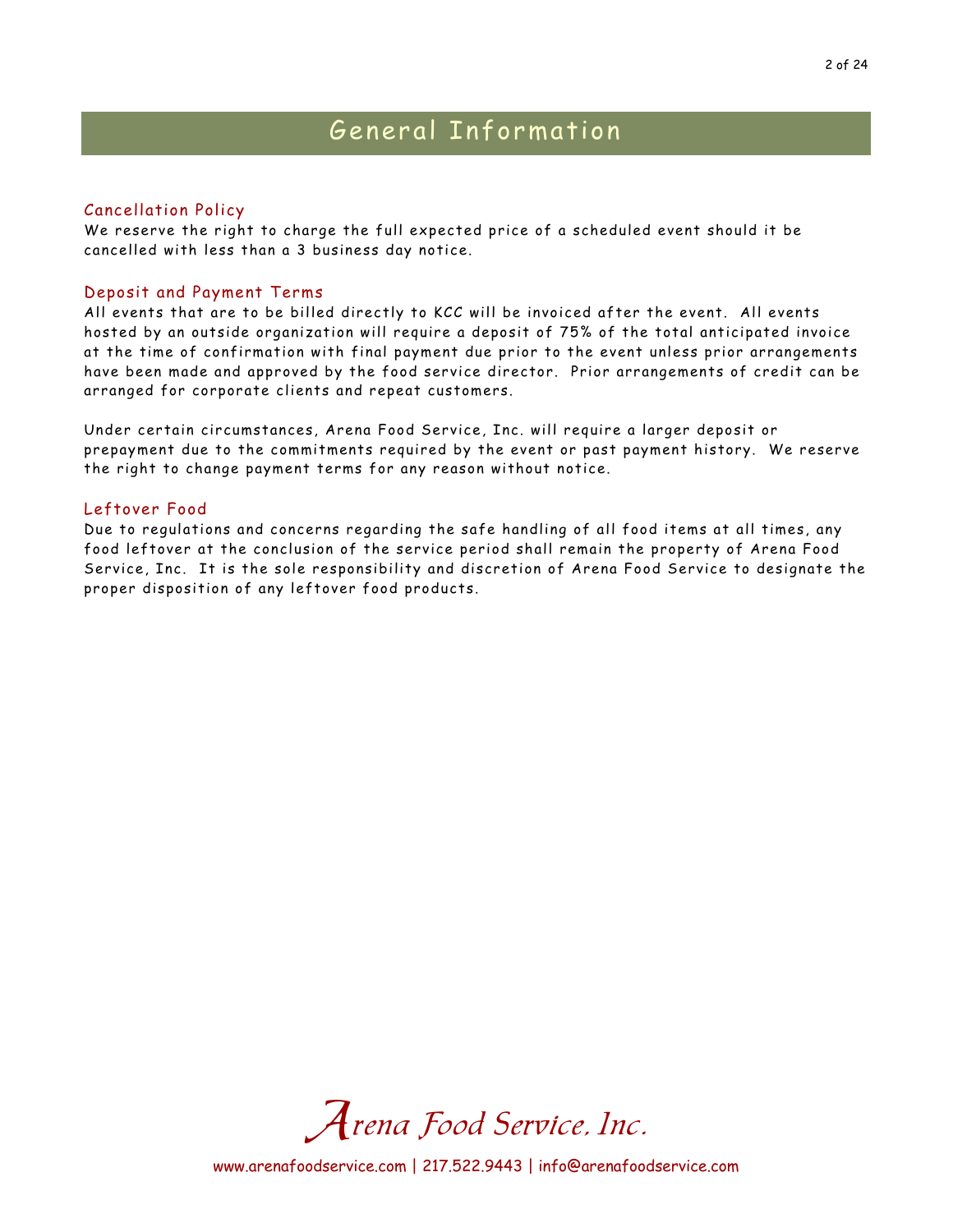## General Information

#### Cancellation Policy

We reserve the right to charge the full expected price of a scheduled event should it be cancelled with less than a 3 business day notice.

#### Deposit and Payment Terms

All events that are to be billed directly to KCC will be invoiced after the event. All events hosted by an outside organization will require a deposit of 75% of the total anticipated invoice at the time of confirmation with final payment due prior to the event unless prior arrangements have been made and approved by the food service director. Prior arrangements of credit can be arranged for corporate clients and repeat customers.

Under certain circumstances, Arena Food Service, Inc. will require a larger deposit or prepayment due to the commitments required by the event or past payment history. We reserve the right to change payment terms for any reason without notice.

#### Leftover Food

Due to regulations and concerns regarding the safe handling of all food items at all times, any food leftover at the conclusion of the service period shall remain the property of Arena Food Service, Inc. It is the sole responsibility and discretion of Arena Food Service to designate the proper disposition of any leftover food products.

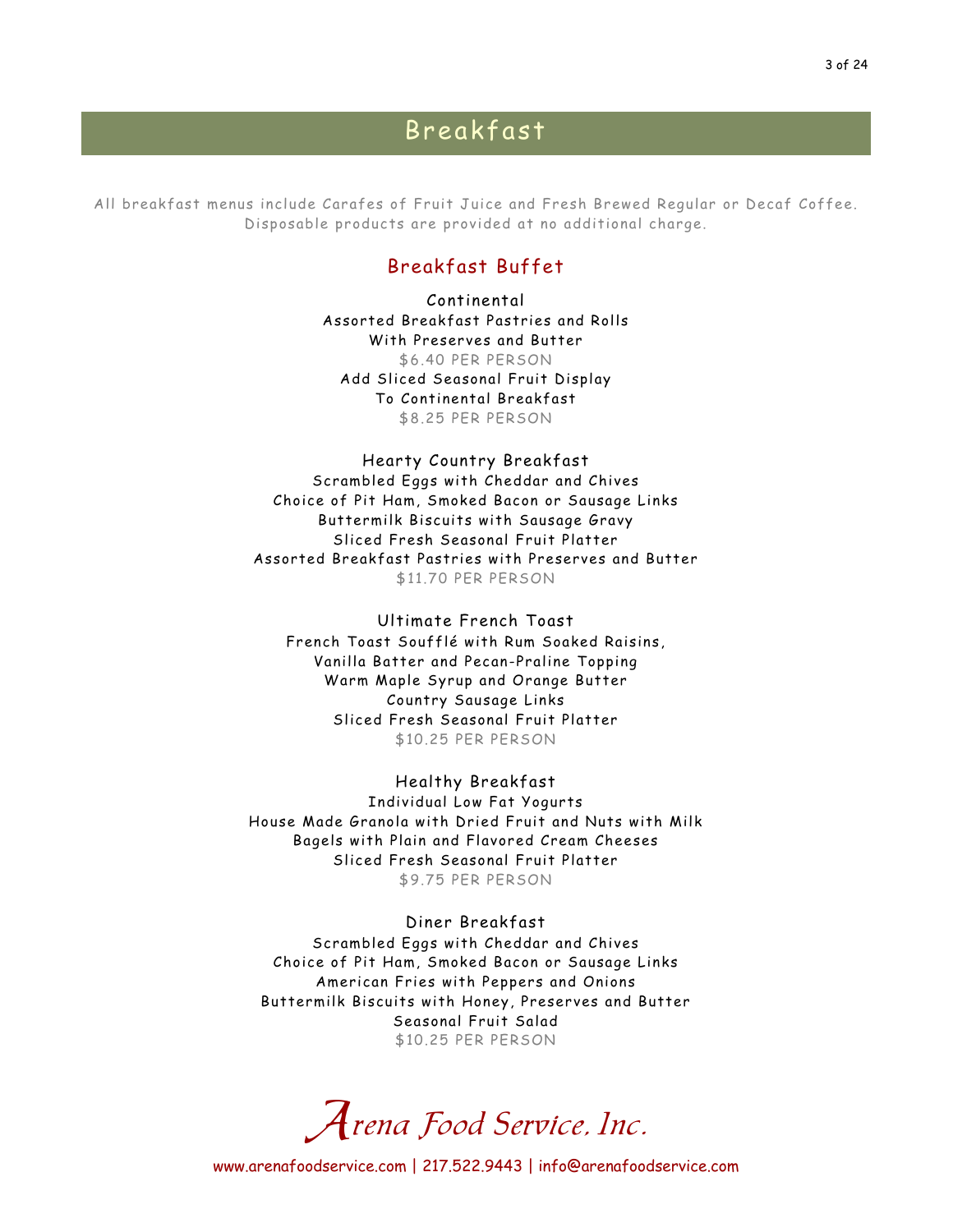## Breakfast

All breakfast menus include Carafes of Fruit Juice and Fresh Brewed Regular or Decaf Coffee. Disposable products are provided at no additional charge.

### Breakfast Buffet

Continental Assorted Breakfast Pastries and Rolls With Preserves and Butter \$6.40 PER PERSON Add Sliced Seasonal Fruit Display To Continental Breakfast \$8.25 PER PERSON

Hearty Country Breakfast Scrambled Eggs with Cheddar and Chives Choice of Pit Ham, Smoked Bacon or Sausage Links Buttermilk Biscuits with Sausage Gravy Sliced Fresh Seasonal Fruit Platter Assorted Breakfast Pastries with Preserves and Butter \$11.70 PER PERSON

Ultimate French Toast French Toast Soufflé with Rum Soaked Raisins, Vanilla Batter and Pecan-Praline Topping Warm Maple Syrup and Orange Butter Country Sausage Links Sliced Fresh Seasonal Fruit Platter \$10.25 PER PERSON

Healthy Breakfast Individual Low Fat Yogurts House Made Granola with Dried Fruit and Nuts with Milk Bagels with Plain and Flavored Cream Cheeses Sliced Fresh Seasonal Fruit Platter \$9.75 PER PERSON

Diner Breakfast Scrambled Eggs with Cheddar and Chives Choice of Pit Ham, Smoked Bacon or Sausage Links American Fries with Peppers and Onions Buttermilk Biscuits with Honey, Preserves and Butter Seasonal Fruit Salad \$10.25 PER PERSON

Arena Food Service, Inc.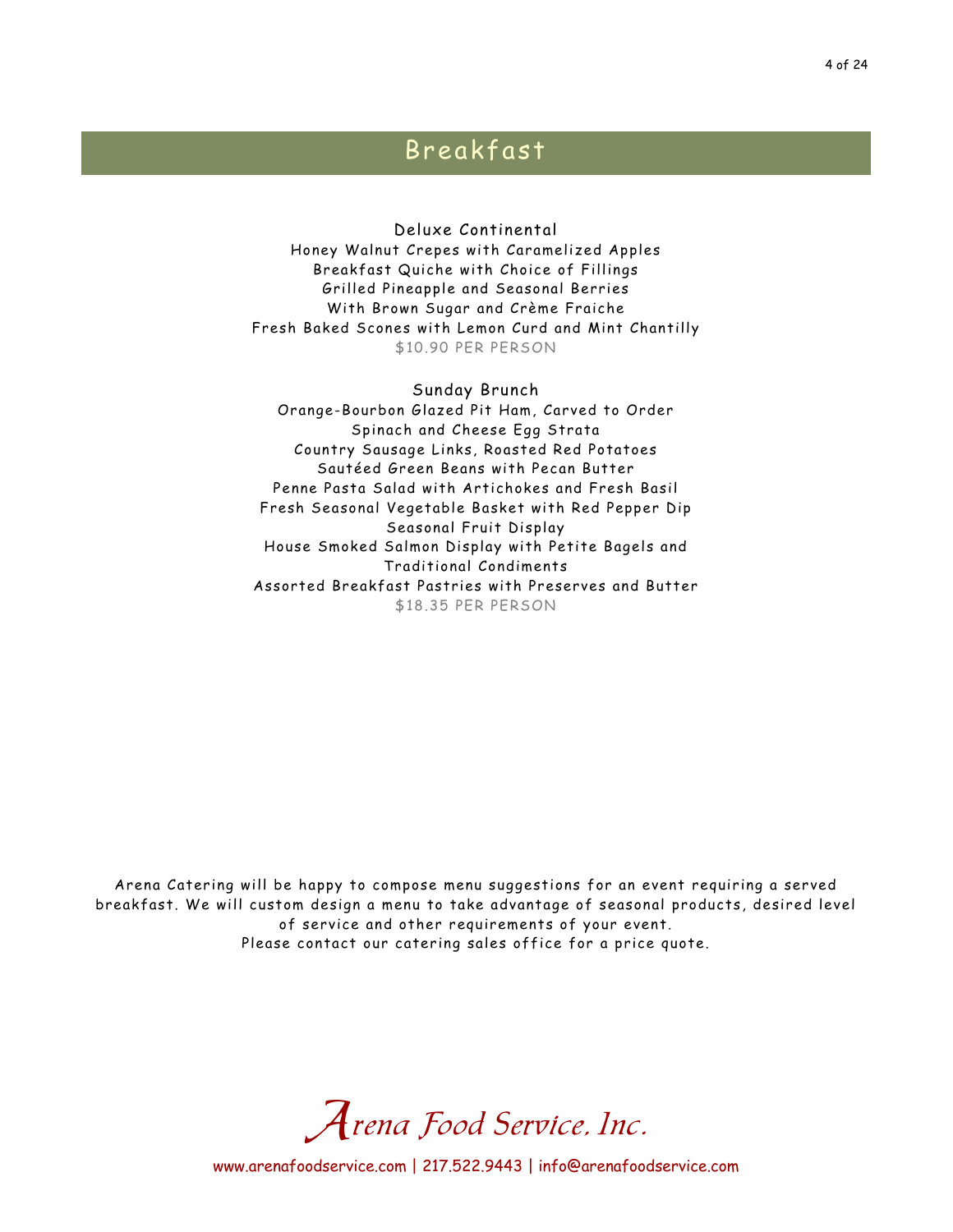## Breakfast

Deluxe Continental Honey Walnut Crepes with Caramelized Apples Breakfast Quiche with Choice of Fillings Grilled Pineapple and Seasonal Berries With Brown Sugar and Crème Fraiche Fresh Baked Scones with Lemon Curd and Mint Chantilly \$10.90 PER PERSON

Sunday Brunch Orange-Bourbon Glazed Pit Ham, Carved to Order Spinach and Cheese Egg Strata Country Sausage Links, Roasted Red Potatoes Sautéed Green Beans with Pecan Butter Penne Pasta Salad with Artichokes and Fresh Basil Fresh Seasonal Vegetable Basket with Red Pepper Dip Seasonal Fruit Display House Smoked Salmon Display with Petite Bagels and Traditional Condiments Assorted Breakfast Pastries with Preserves and Butter \$18.35 PER PERSON

Arena Catering will be happy to compose menu suggestions for an event requiring a served breakfast. We will custom design a menu to take advantage of seasonal products, desired level of service and other requirements of your event. Please contact our catering sales office for a price quote.

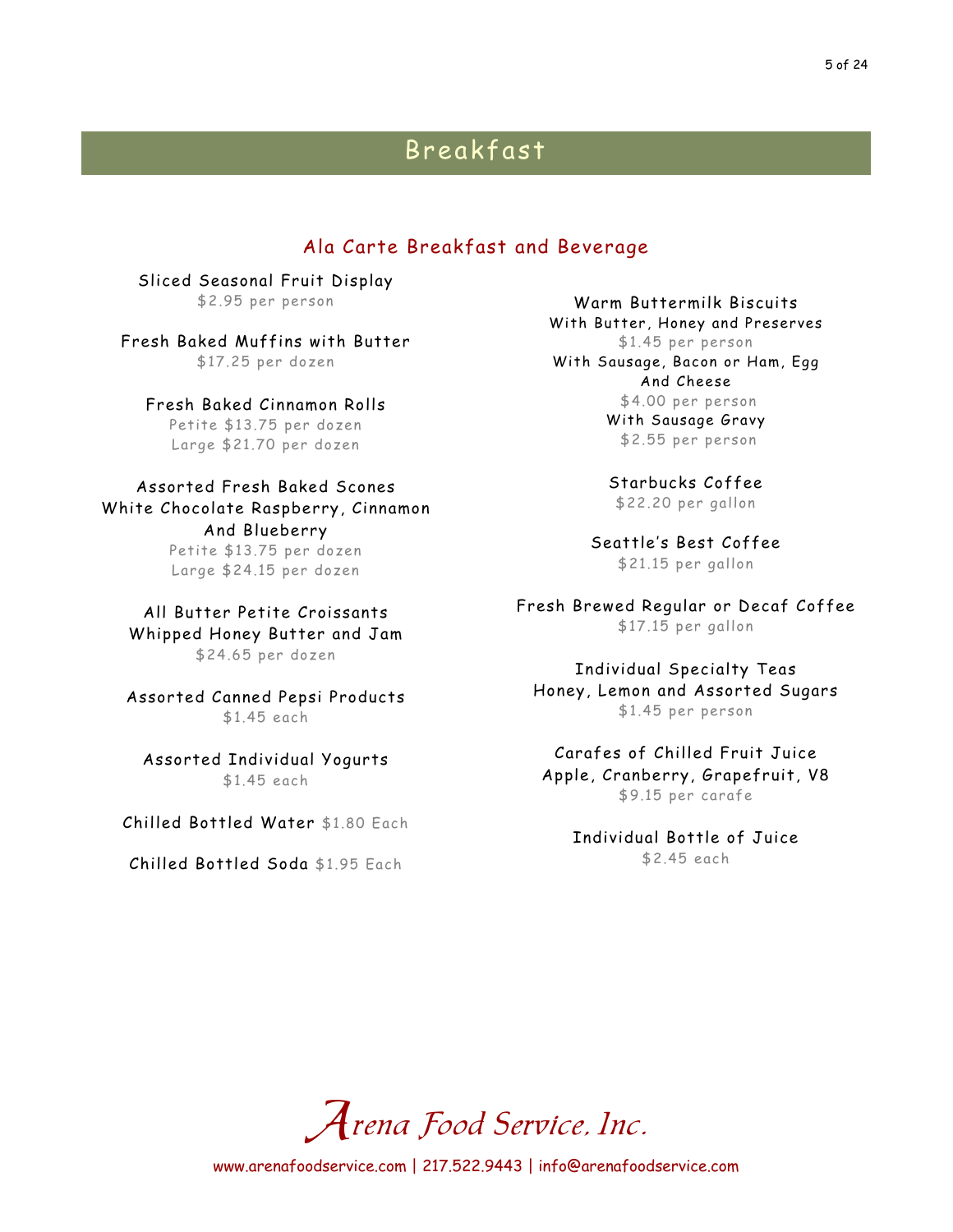## Breakfast

### Ala Carte Breakfast and Beverage

Sliced Seasonal Fruit Display \$2.95 per person

Fresh Baked Muffins with Butter \$17.25 per dozen

Fresh Baked Cinnamon Rolls Petite \$13.75 per dozen Large \$21.70 per dozen

Assorted Fresh Baked Scones White Chocolate Raspberry, Cinnamon And Blueberry Petite \$13.75 per dozen Large \$24.15 per dozen

All Butter Petite Croissants Whipped Honey Butter and Jam \$24.65 per dozen

Assorted Canned Pepsi Products \$1.45 each

Assorted Individual Yogurts \$1.45 each

Chilled Bottled Water \$1.80 Each

Chilled Bottled Soda \$1.95 Each

Warm Buttermilk Biscuits With Butter, Honey and Preserves \$1.45 per person With Sausage, Bacon or Ham, Egg And Cheese \$4.00 per person With Sausage Gravy

\$2.55 per person

Starbucks Coffee \$22.20 per gallon

Seattle's Best Coffee \$21.15 per gallon

Fresh Brewed Regular or Decaf Coffee \$17.15 per gallon

Individual Specialty Teas Honey, Lemon and Assorted Sugars \$1.45 per person

Carafes of Chilled Fruit Juice Apple, Cranberry, Grapefruit, V8 \$9.15 per carafe

Individual Bottle of Juice \$2.45 each

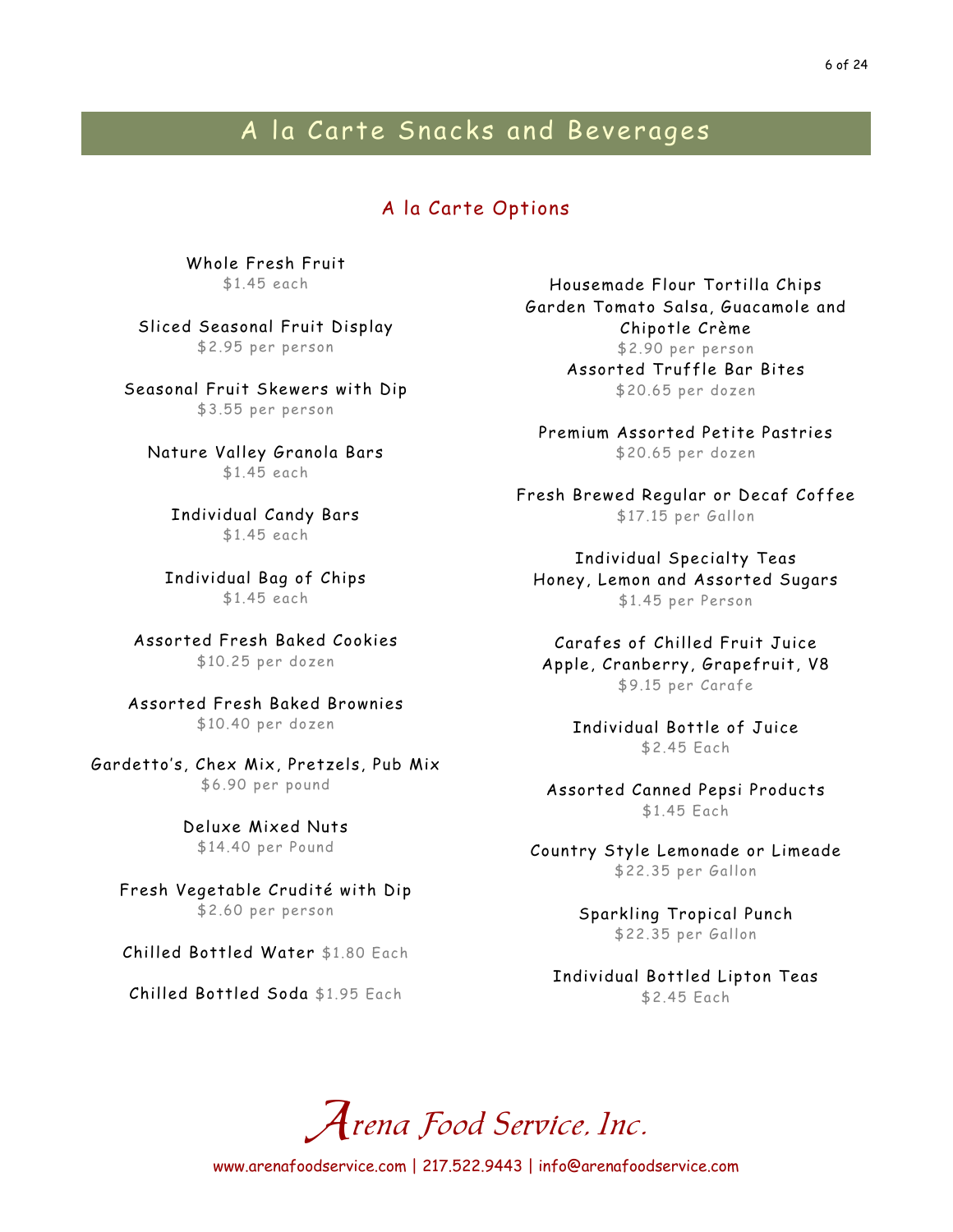## A la Carte Snacks and Beverages

### A la Carte Options

Whole Fresh Fruit \$1.45 each

Sliced Seasonal Fruit Display \$2.95 per person

Seasonal Fruit Skewers with Dip \$3.55 per person

Nature Valley Granola Bars \$1.45 each

Individual Candy Bars \$1.45 each

Individual Bag of Chips \$1.45 each

Assorted Fresh Baked Cookies \$10.25 per dozen

Assorted Fresh Baked Brownies \$10.40 per dozen

Gardetto's, Chex Mix, Pretzels, Pub Mix \$6.90 per pound

> Deluxe Mixed Nuts \$14.40 per Pound

Fresh Vegetable Crudité with Dip \$2.60 per person

Chilled Bottled Water \$1.80 Each

Chilled Bottled Soda \$1.95 Each

Housemade Flour Tortilla Chips Garden Tomato Salsa, Guacamole and Chipotle Crème \$2.90 per person Assorted Truffle Bar Bites \$20.65 per dozen

Premium Assorted Petite Pastries \$20.65 per dozen

Fresh Brewed Regular or Decaf Coffee \$17.15 per Gallon

Individual Specialty Teas Honey, Lemon and Assorted Sugars \$1.45 per Person

Carafes of Chilled Fruit Juice Apple, Cranberry, Grapefruit, V8 \$9.15 per Carafe

Individual Bottle of Juice \$2.45 Each

Assorted Canned Pepsi Products \$1.45 Each

Country Style Lemonade or Limeade \$22.35 per Gallon

> Sparkling Tropical Punch \$22.35 per Gallon

Individual Bottled Lipton Teas \$2.45 Each

Arena Food Service, Inc.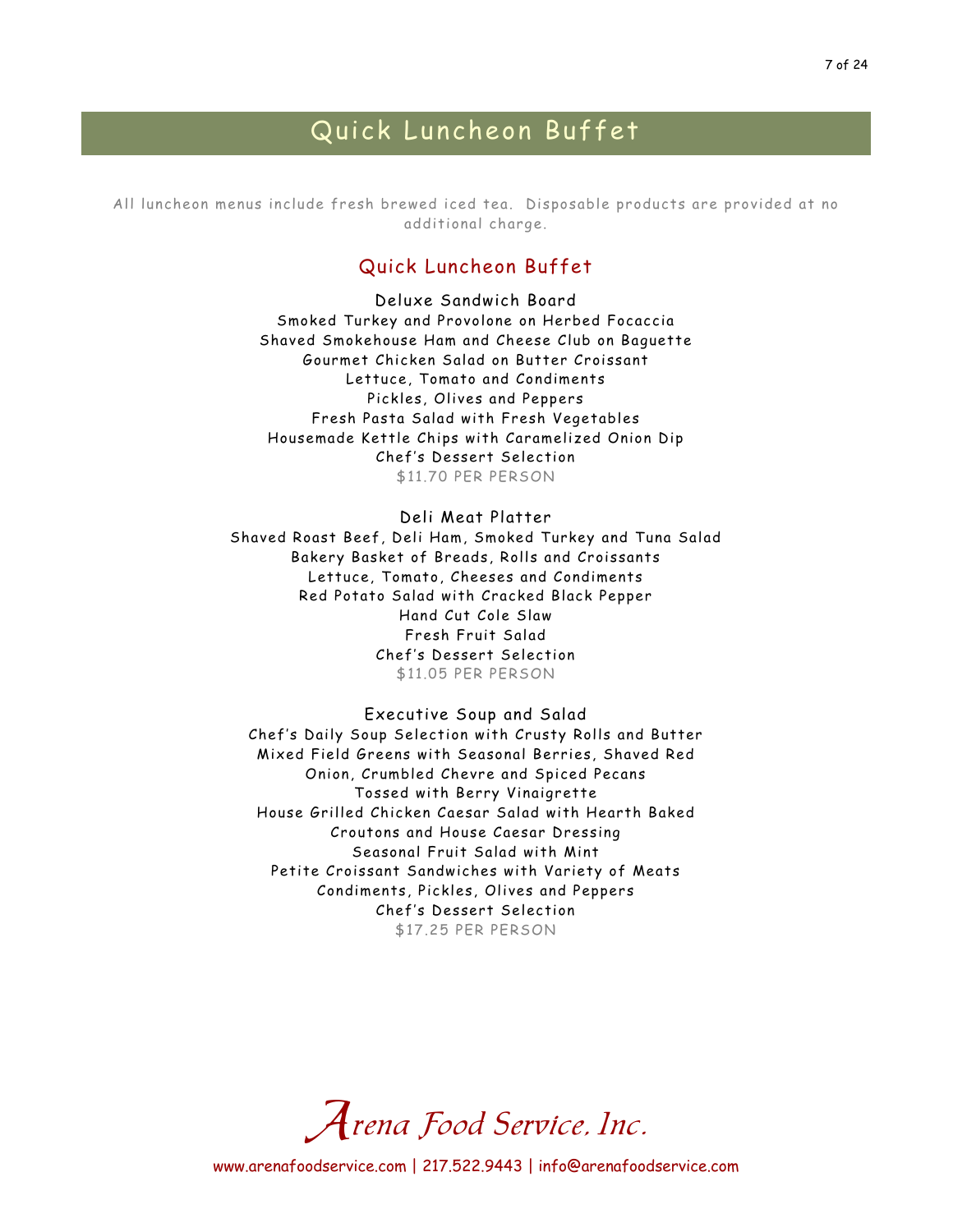## Quick Luncheon Buffet

All luncheon menus include fresh brewed iced tea. Disposable products are provided at no additional charge.

### Quick Luncheon Buffet

Deluxe Sandwich Board Smoked Turkey and Provolone on Herbed Focaccia Shaved Smokehouse Ham and Cheese Club on Baguette Gourmet Chicken Salad on Butter Croissant Lettuce, Tomato and Condiments Pickles, Olives and Peppers Fresh Pasta Salad with Fresh Vegetables Housemade Kettle Chips with Caramelized Onion Dip Chef's Dessert Selection \$11.70 PER PERSON

#### Deli Meat Platter

Shaved Roast Beef, Deli Ham, Smoked Turkey and Tuna Salad Bakery Basket of Breads, Rolls and Croissants Lettuce, Tomato, Cheeses and Condiments Red Potato Salad with Cracked Black Pepper Hand Cut Cole Slaw Fresh Fruit Salad Chef's Dessert Selection \$11.05 PER PERSON

Executive Soup and Salad Chef's Daily Soup Selection with Crusty Rolls and Butter Mixed Field Greens with Seasonal Berries, Shaved Red Onion, Crumbled Chevre and Spiced Pecans Tossed with Berry Vinaigrette House Grilled Chicken Caesar Salad with Hearth Baked Croutons and House Caesar Dressing Seasonal Fruit Salad with Mint Petite Croissant Sandwiches with Variety of Meats Condiments, Pickles, Olives and Peppers Chef's Dessert Selection \$17.25 PER PERSON

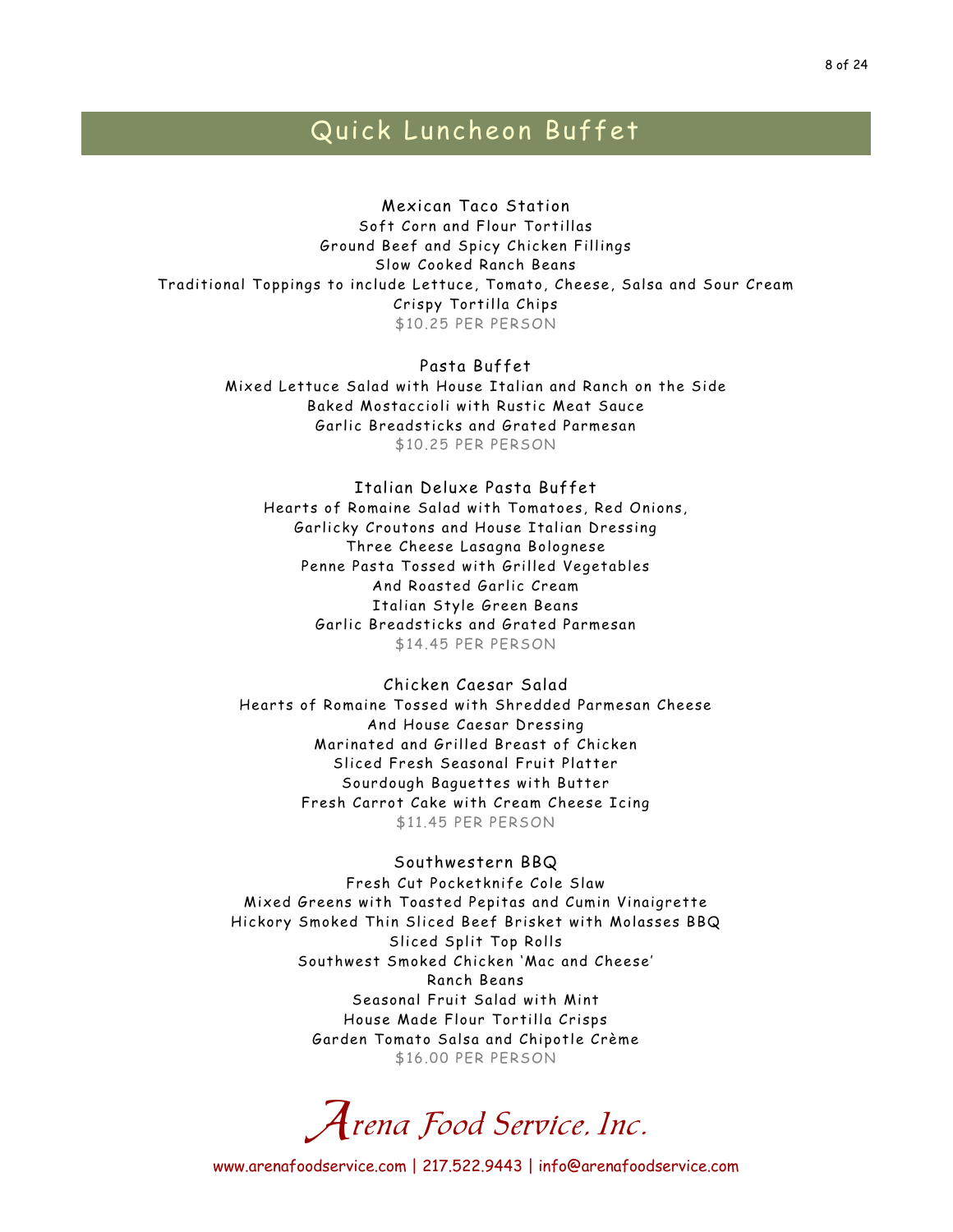## Quick Luncheon Buffet

Mexican Taco Station Soft Corn and Flour Tortillas Ground Beef and Spicy Chicken Fillings Slow Cooked Ranch Beans Traditional Toppings to include Lettuce, Tomato, Cheese, Salsa and Sour Cream Crispy Tortilla Chips \$10.25 PER PERSON

> Pasta Buffet Mixed Lettuce Salad with House Italian and Ranch on the Side Baked Mostaccioli with Rustic Meat Sauce Garlic Breadsticks and Grated Parmesan \$10.25 PER PERSON

Italian Deluxe Pasta Buffet Hearts of Romaine Salad with Tomatoes, Red Onions, Garlicky Croutons and House Italian Dressing Three Cheese Lasagna Bolognese Penne Pasta Tossed with Grilled Vegetables And Roasted Garlic Cream Italian Style Green Beans Garlic Breadsticks and Grated Parmesan \$14.45 PER PERSON

Chicken Caesar Salad Hearts of Romaine Tossed with Shredded Parmesan Cheese And House Caesar Dressing Marinated and Grilled Breast of Chicken Sliced Fresh Seasonal Fruit Platter Sourdough Baguettes with Butter Fresh Carrot Cake with Cream Cheese Icing \$11.45 PER PERSON

#### Southwestern BBQ

Fresh Cut Pocketknife Cole Slaw Mixed Greens with Toasted Pepitas and Cumin Vinaigrette Hickory Smoked Thin Sliced Beef Brisket with Molasses BBQ Sliced Split Top Rolls Southwest Smoked Chicken 'Mac and Cheese' Ranch Beans Seasonal Fruit Salad with Mint House Made Flour Tortilla Crisps Garden Tomato Salsa and Chipotle Crème \$16.00 PER PERSON

Arena Food Service, Inc.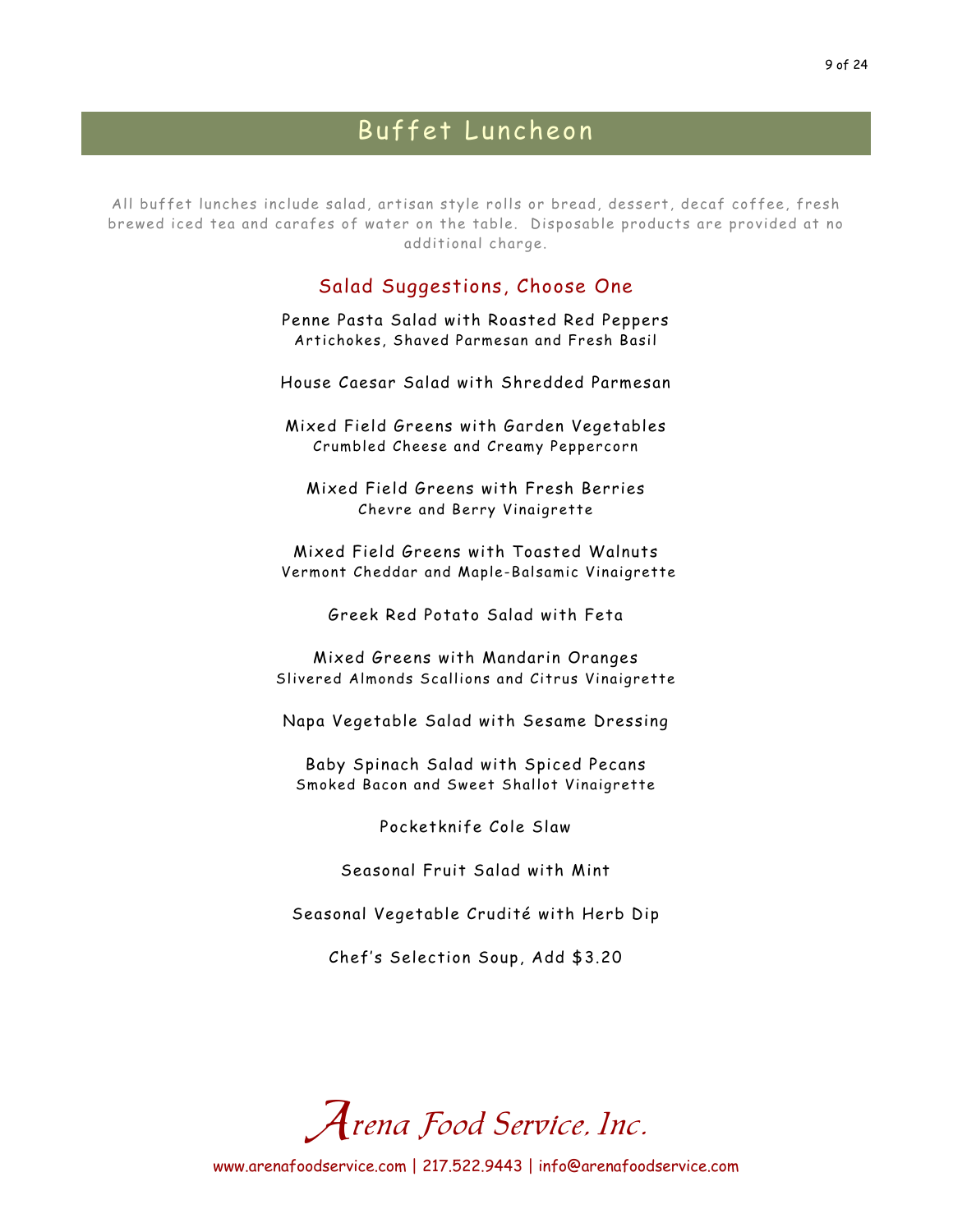All buffet lunches include salad, artisan style rolls or bread, dessert, decaf coffee, fresh brewed iced tea and carafes of water on the table. Disposable products are provided at no additional charge.

## Salad Suggestions, Choose One

Penne Pasta Salad with Roasted Red Peppers Artichokes, Shaved Parmesan and Fresh Basil

House Caesar Salad with Shredded Parmesan

Mixed Field Greens with Garden Vegetables Crumbled Cheese and Creamy Peppercorn

Mixed Field Greens with Fresh Berries Chevre and Berry Vinaigrette

Mixed Field Greens with Toasted Walnuts Vermont Cheddar and Maple-Balsamic Vinaigrette

Greek Red Potato Salad with Feta

Mixed Greens with Mandarin Oranges Slivered Almonds Scallions and Citrus Vinaigrette

Napa Vegetable Salad with Sesame Dressing

Baby Spinach Salad with Spiced Pecans Smoked Bacon and Sweet Shallot Vinaigrette

Pocketknife Cole Slaw

Seasonal Fruit Salad with Mint

Seasonal Vegetable Crudité with Herb Dip

Chef's Selection Soup, Add \$3.20

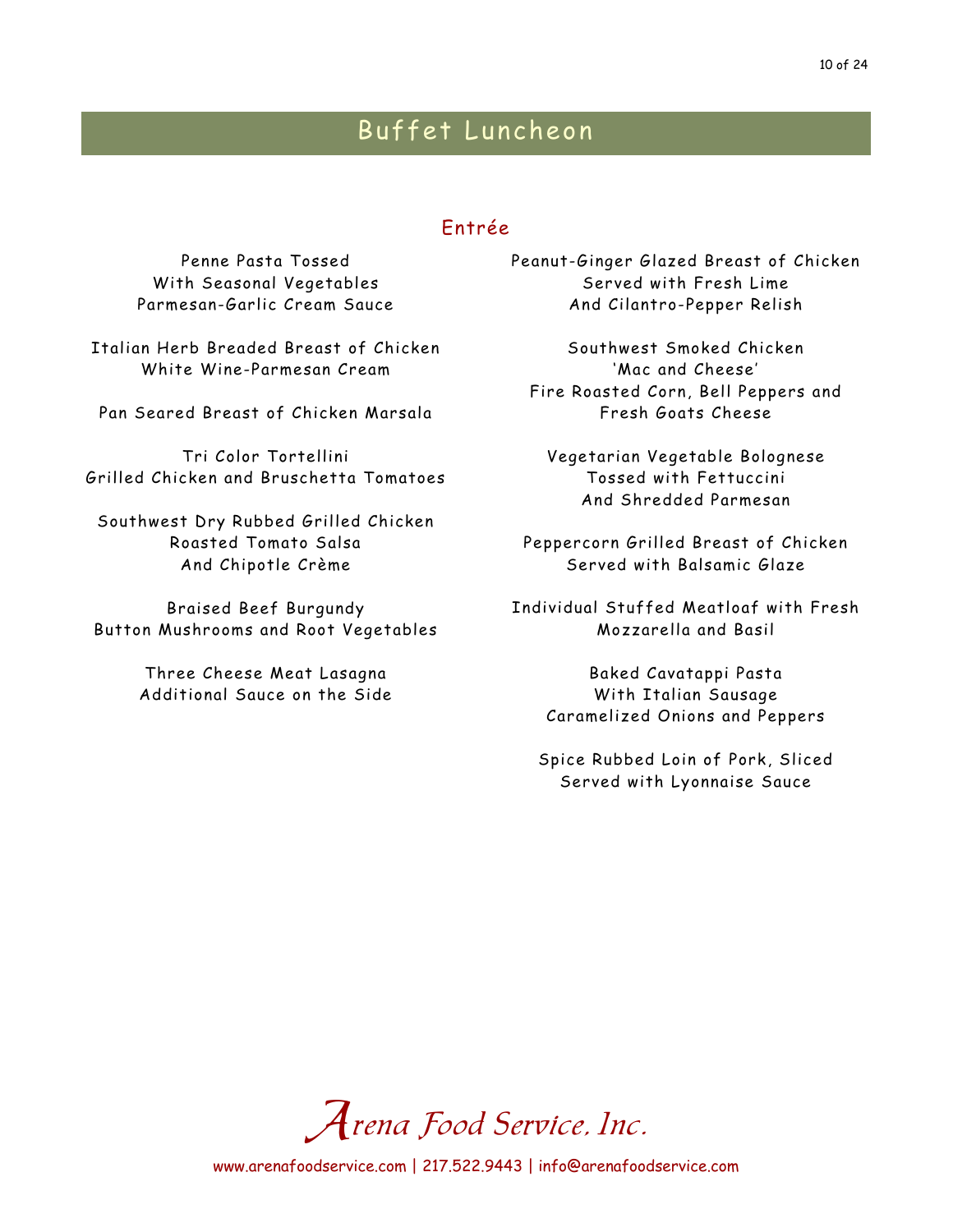## Entrée

Penne Pasta Tossed With Seasonal Vegetables Parmesan-Garlic Cream Sauce

Italian Herb Breaded Breast of Chicken White Wine-Parmesan Cream

Pan Seared Breast of Chicken Marsala

Tri Color Tortellini Grilled Chicken and Bruschetta Tomatoes

Southwest Dry Rubbed Grilled Chicken Roasted Tomato Salsa And Chipotle Crème

Braised Beef Burgundy Button Mushrooms and Root Vegetables

> Three Cheese Meat Lasagna Additional Sauce on the Side

Peanut-Ginger Glazed Breast of Chicken Served with Fresh Lime And Cilantro-Pepper Relish

Southwest Smoked Chicken 'Mac and Cheese' Fire Roasted Corn, Bell Peppers and Fresh Goats Cheese

Vegetarian Vegetable Bolognese Tossed with Fettuccini And Shredded Parmesan

Peppercorn Grilled Breast of Chicken Served with Balsamic Glaze

Individual Stuffed Meatloaf with Fresh Mozzarella and Basil

Baked Cavatappi Pasta With Italian Sausage Caramelized Onions and Peppers

Spice Rubbed Loin of Pork, Sliced Served with Lyonnaise Sauce

Arena Food Service, Inc.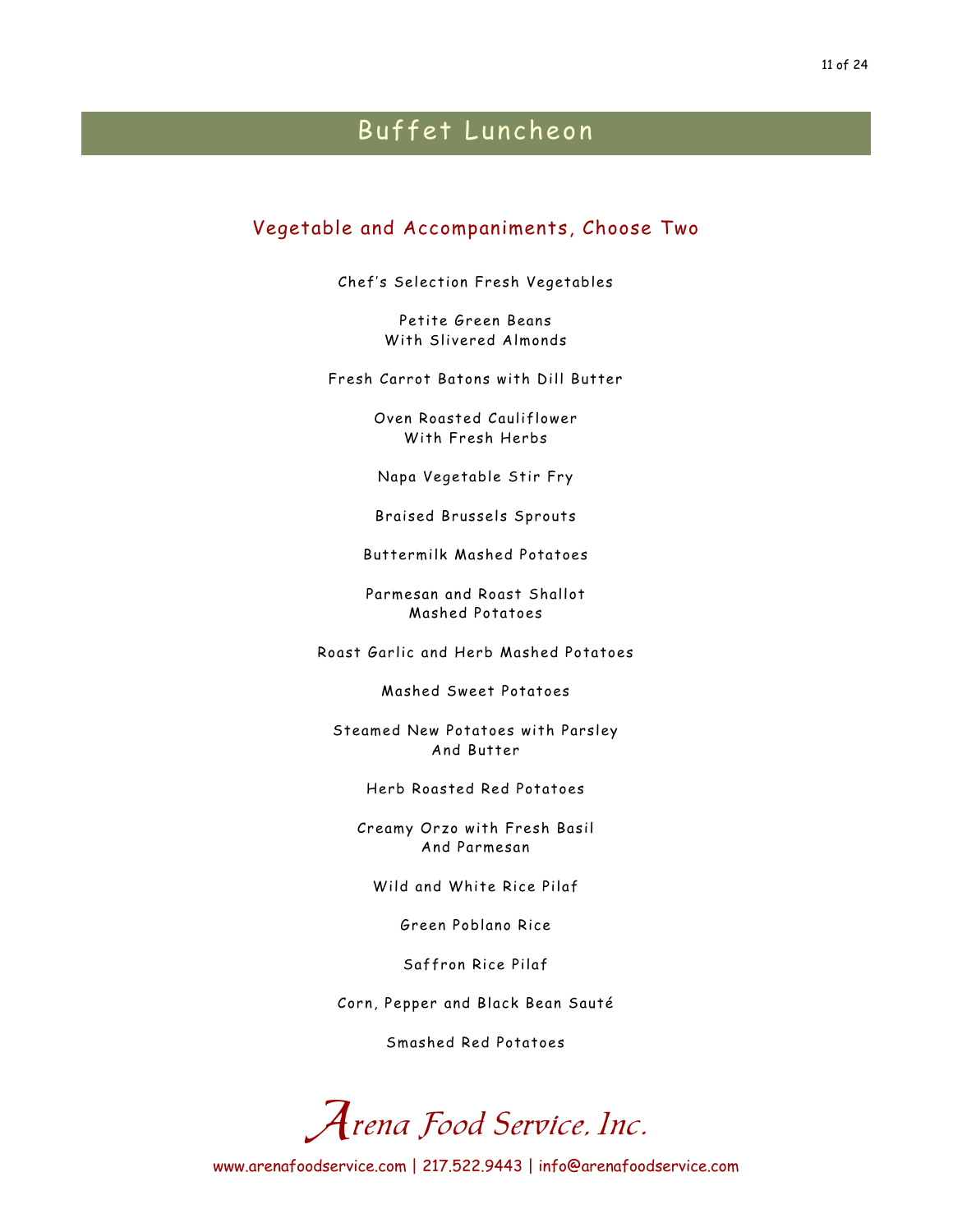### Vegetable and Accompaniments, Choose Two

Chef's Selection Fresh Vegetables

Petite Green Beans With Slivered Almonds

Fresh Carrot Batons with Dill Butter

Oven Roasted Cauliflower With Fresh Herbs

Napa Vegetable Stir Fry

Braised Brussels Sprouts

Buttermilk Mashed Potatoes

Parmesan and Roast Shallot Mashed Potatoes

Roast Garlic and Herb Mashed Potatoes

Mashed Sweet Potatoes

Steamed New Potatoes with Parsley And Butter

Herb Roasted Red Potatoes

Creamy Orzo with Fresh Basil And Parmesan

Wild and White Rice Pilaf

Green Poblano Rice

Saffron Rice Pilaf

Corn, Pepper and Black Bean Sauté

Smashed Red Potatoes

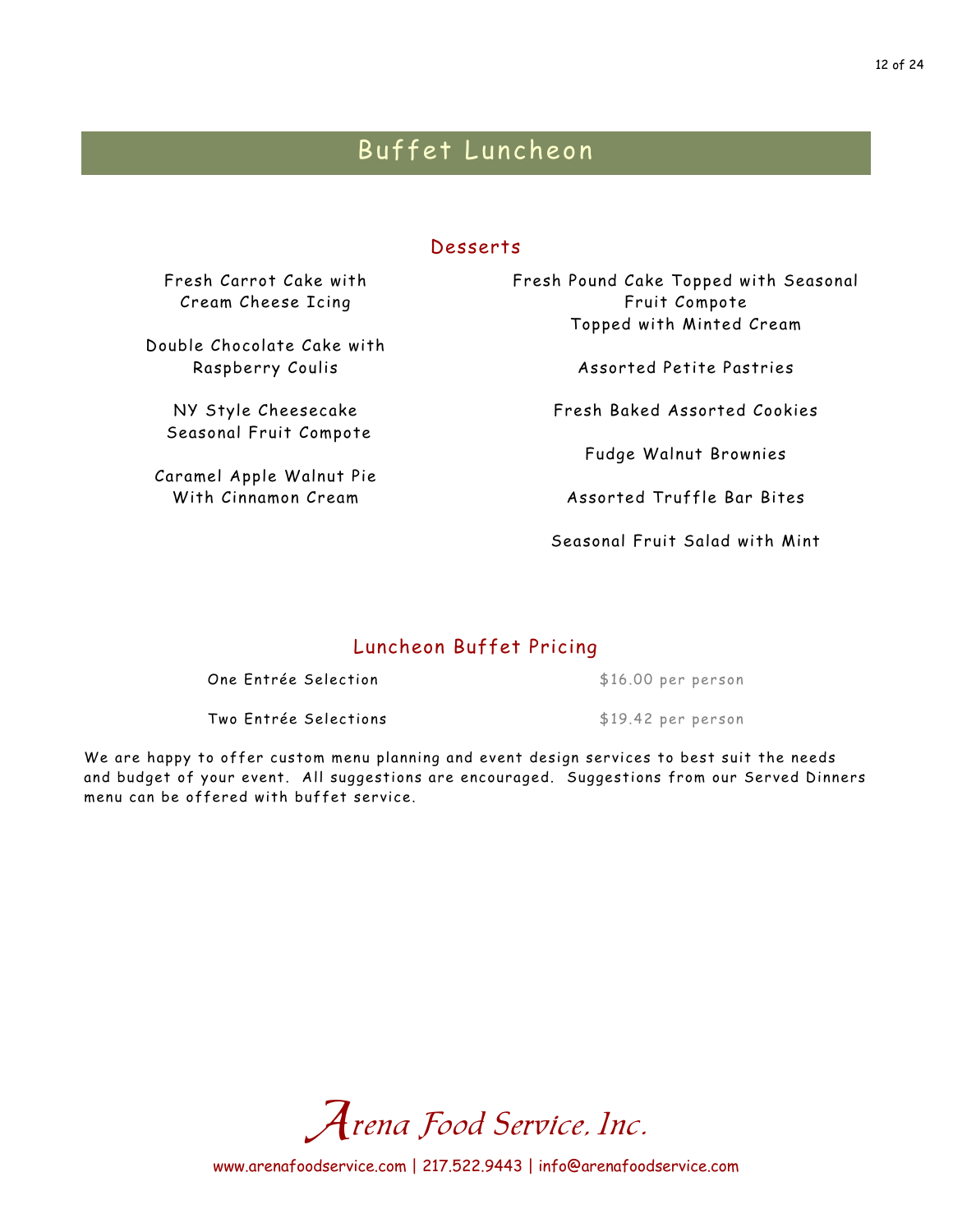### Desserts

Fresh Carrot Cake with Cream Cheese Icing

Double Chocolate Cake with Raspberry Coulis

NY Style Cheesecake Seasonal Fruit Compote

Caramel Apple Walnut Pie With Cinnamon Cream

Fresh Pound Cake Topped with Seasonal Fruit Compote Topped with Minted Cream

Assorted Petite Pastries

Fresh Baked Assorted Cookies

Fudge Walnut Brownies

Assorted Truffle Bar Bites

Seasonal Fruit Salad with Mint

## Luncheon Buffet Pricing

One Entrée Selection  $$16.00$  per person

Two Entrée Selections<br>
\$19.42 per person

We are happy to offer custom menu planning and event design services to best suit the needs and budget of your event. All suggestions are encouraged. Suggestions from our Served Dinners menu can be offered with buffet service.

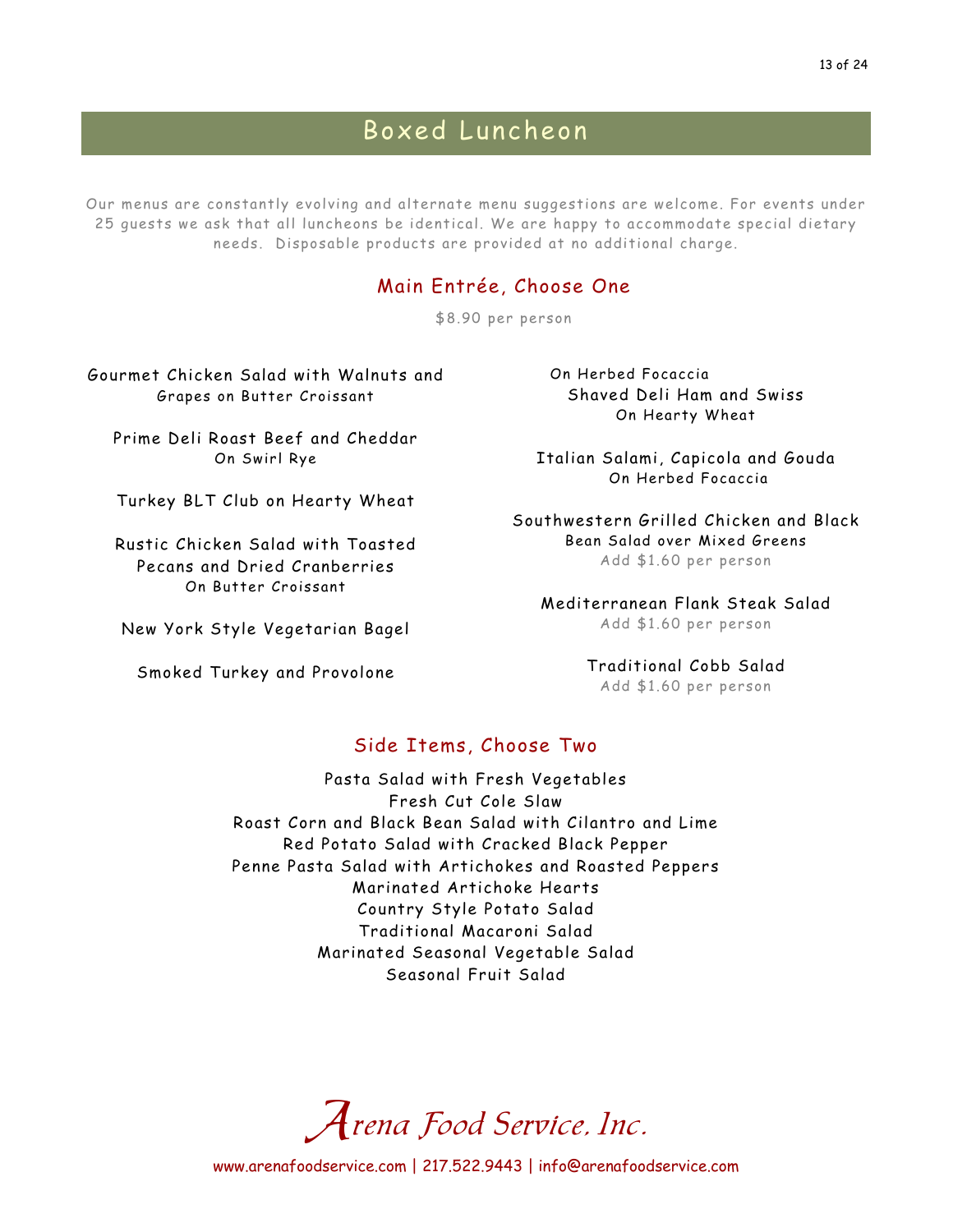## Boxed Luncheon

Our menus are constantly evolving and alternate menu suggestions are welcome. For events under 25 guests we ask that all luncheons be identical. We are happy to accommodate special dietary needs. Disposable products are provided at no additional charge.

### Main Entrée, Choose One

\$8.90 per person

Gourmet Chicken Salad with Walnuts and Grapes on Butter Croissant

Prime Deli Roast Beef and Cheddar On Swirl Rye

Turkey BLT Club on Hearty Wheat

Rustic Chicken Salad with Toasted Pecans and Dried Cranberries On Butter Croissant

New York Style Vegetarian Bagel

Smoked Turkey and Provolone

On Herbed Focaccia Shaved Deli Ham and Swiss On Hearty Wheat

Italian Salami, Capicola and Gouda On Herbed Focaccia

Southwestern Grilled Chicken and Black Bean Salad over Mixed Greens Add \$1.60 per person

Mediterranean Flank Steak Salad Add \$1.60 per person

> Traditional Cobb Salad Add \$1.60 per person

### Side Items, Choose Two

Pasta Salad with Fresh Vegetables Fresh Cut Cole Slaw Roast Corn and Black Bean Salad with Cilantro and Lime Red Potato Salad with Cracked Black Pepper Penne Pasta Salad with Artichokes and Roasted Peppers Marinated Artichoke Hearts Country Style Potato Salad Traditional Macaroni Salad Marinated Seasonal Vegetable Salad Seasonal Fruit Salad

Arena Food Service, Inc.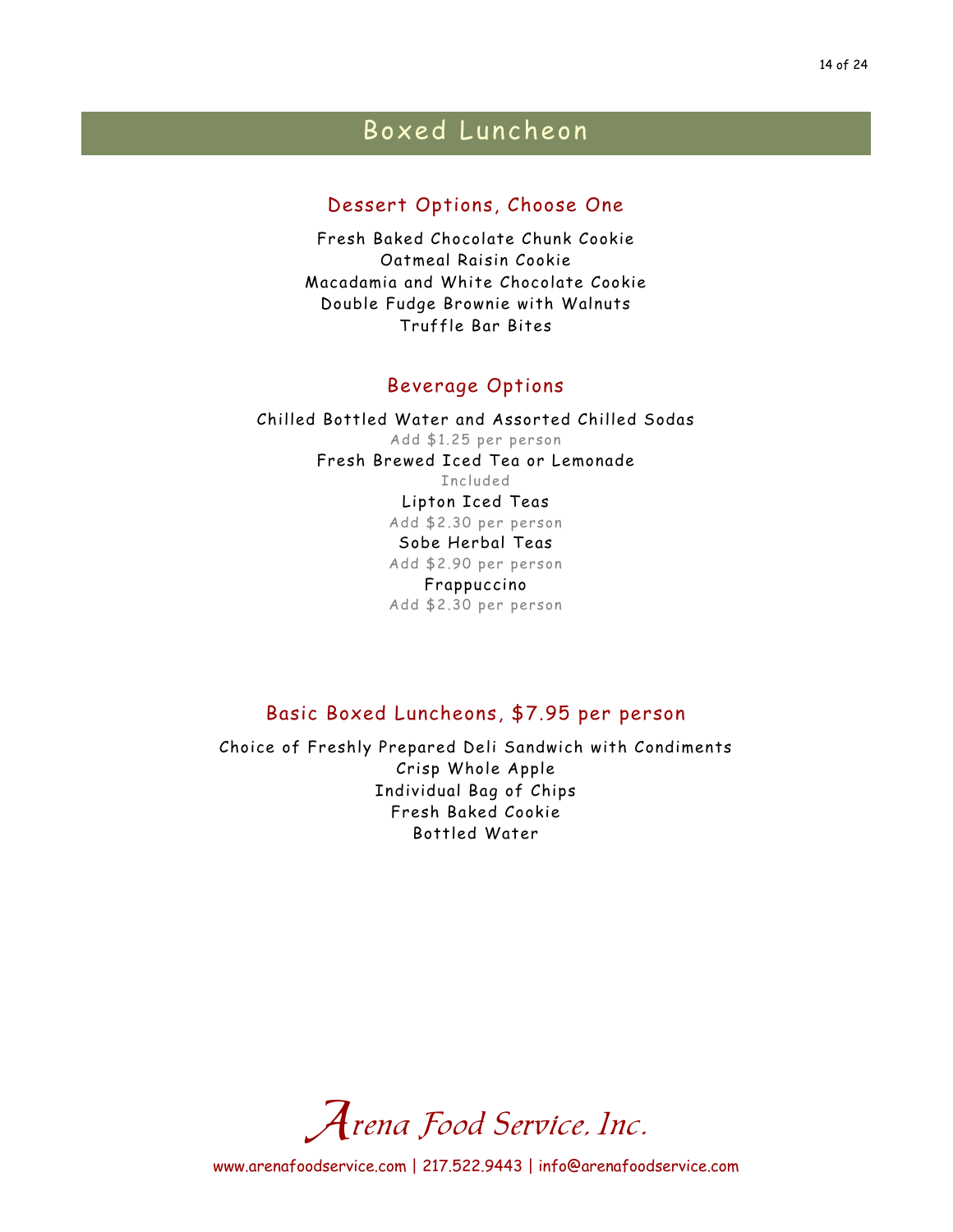#### 14 of 24

## Boxed Luncheon

### Dessert Options, Choose One

Fresh Baked Chocolate Chunk Cookie Oatmeal Raisin Cookie Macadamia and White Chocolate Cookie Double Fudge Brownie with Walnuts Truffle Bar Bites

### Beverage Options

Chilled Bottled Water and Assorted Chilled Sodas Add \$1.25 per person Fresh Brewed Iced Tea or Lemonade Included Lipton Iced Teas Add \$2.30 per person Sobe Herbal Teas Add \$2.90 per person Frappuccino Add \$2.30 per person

### Basic Boxed Luncheons, \$7.95 per person

Choice of Freshly Prepared Deli Sandwich with Condiments Crisp Whole Apple Individual Bag of Chips Fresh Baked Cookie Bottled Water

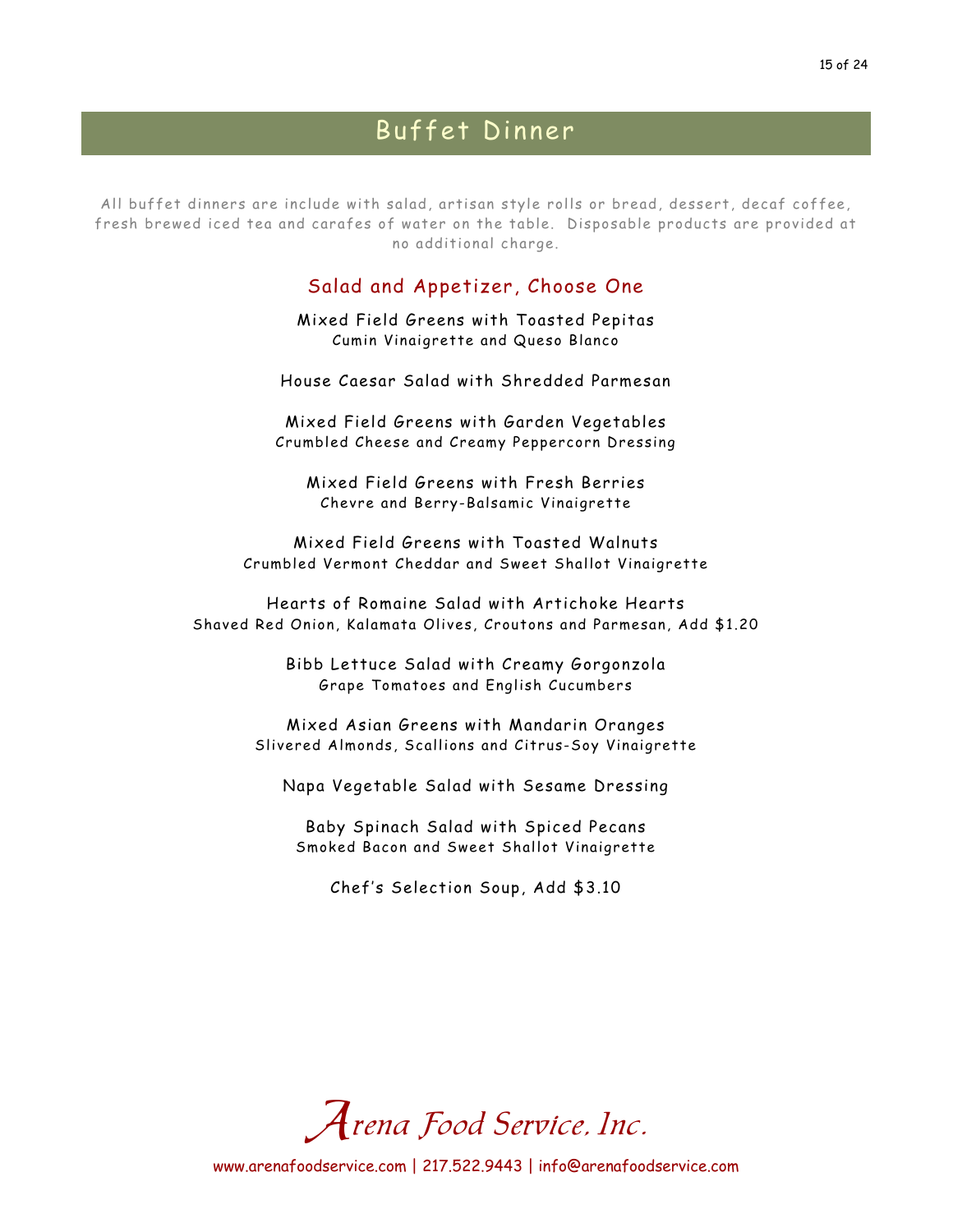All buffet dinners are include with salad, artisan style rolls or bread, dessert, decaf coffee, fresh brewed iced tea and carafes of water on the table. Disposable products are provided at no additional charge.

### Salad and Appetizer, Choose One

Mixed Field Greens with Toasted Pepitas Cumin Vinaigrette and Queso Blanco

House Caesar Salad with Shredded Parmesan

Mixed Field Greens with Garden Vegetables Crumbled Cheese and Creamy Peppercorn Dressing

Mixed Field Greens with Fresh Berries Chevre and Berry-Balsamic Vinaigrette

Mixed Field Greens with Toasted Walnuts Crumbled Vermont Cheddar and Sweet Shallot Vinaigrette

Hearts of Romaine Salad with Artichoke Hearts Shaved Red Onion, Kalamata Olives, Croutons and Parmesan, Add \$1.20

> Bibb Lettuce Salad with Creamy Gorgonzola Grape Tomatoes and English Cucumbers

Mixed Asian Greens with Mandarin Oranges Slivered Almonds, Scallions and Citrus-Soy Vinaigrette

Napa Vegetable Salad with Sesame Dressing

Baby Spinach Salad with Spiced Pecans Smoked Bacon and Sweet Shallot Vinaigrette

Chef's Selection Soup, Add \$3.10

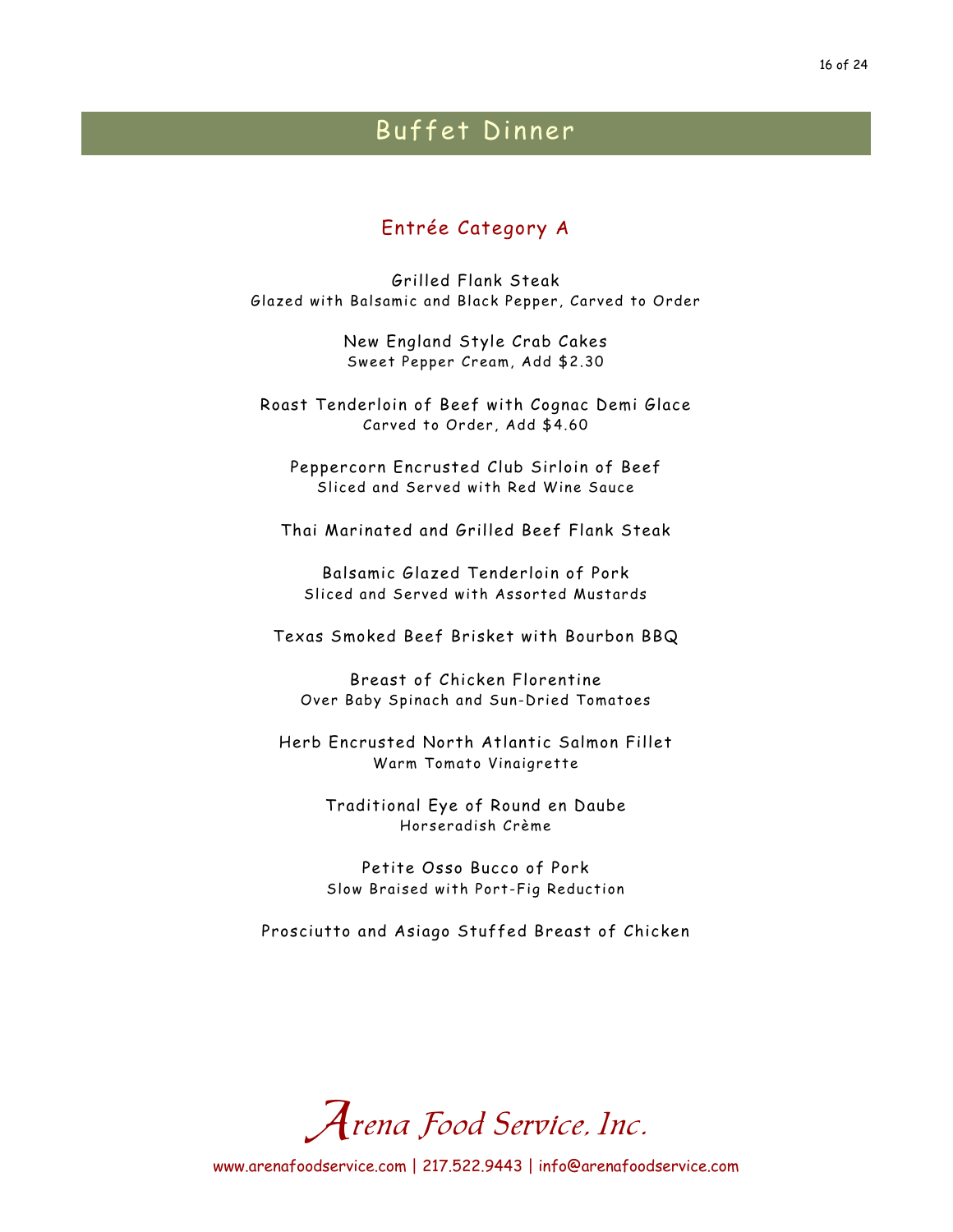### Entrée Category A

Grilled Flank Steak Glazed with Balsamic and Black Pepper, Carved to Order

> New England Style Crab Cakes Sweet Pepper Cream, Add \$2.30

Roast Tenderloin of Beef with Cognac Demi Glace Carved to Order, Add \$4.60

Peppercorn Encrusted Club Sirloin of Beef Sliced and Served with Red Wine Sauce

Thai Marinated and Grilled Beef Flank Steak

Balsamic Glazed Tenderloin of Pork Sliced and Served with Assorted Mustards

Texas Smoked Beef Brisket with Bourbon BBQ

Breast of Chicken Florentine Over Baby Spinach and Sun-Dried Tomatoes

Herb Encrusted North Atlantic Salmon Fillet Warm Tomato Vinaigrette

> Traditional Eye of Round en Daube Horseradish Crème

> Petite Osso Bucco of Pork Slow Braised with Port-Fig Reduction

Prosciutto and Asiago Stuffed Breast of Chicken

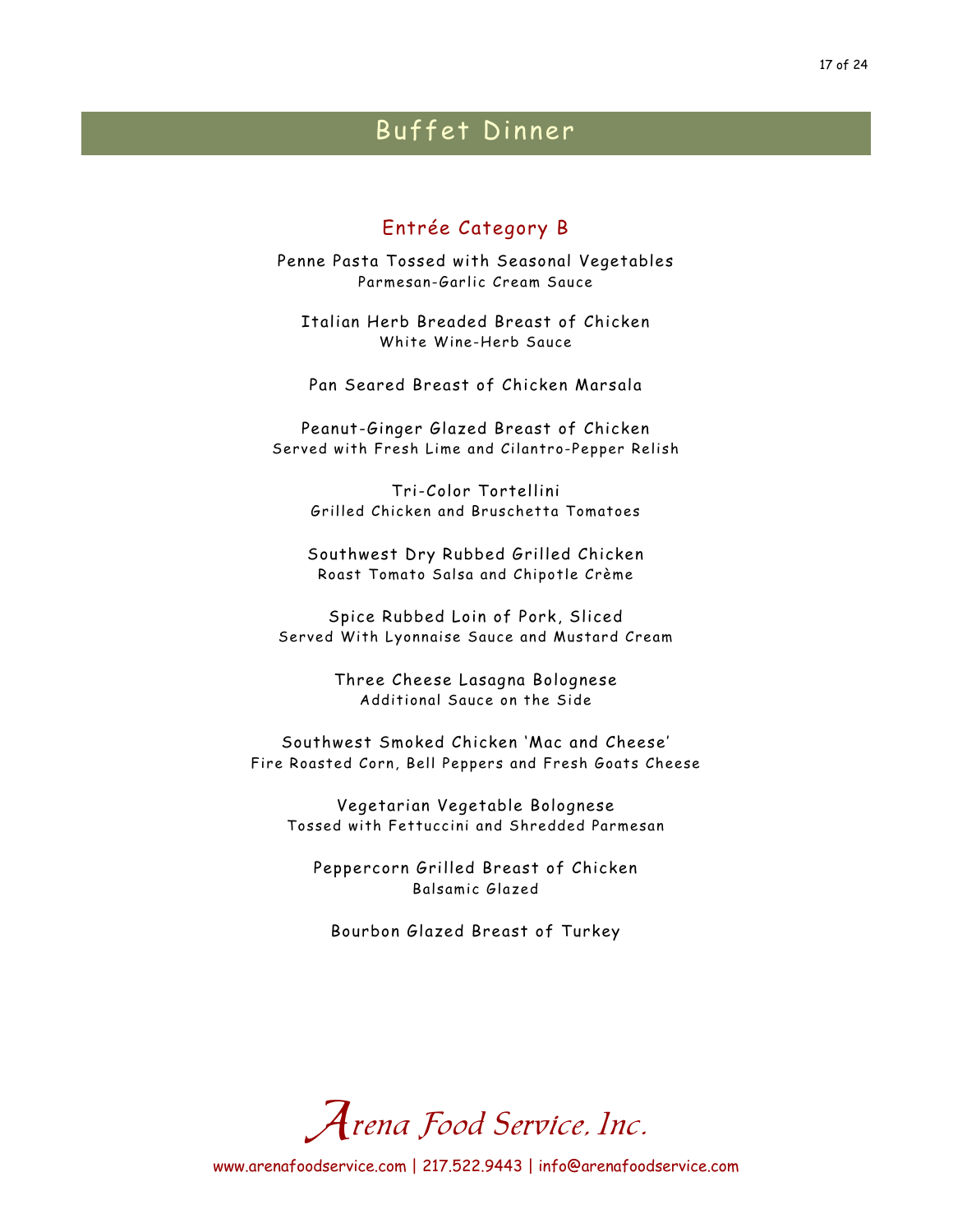### Entrée Category B

Penne Pasta Tossed with Seasonal Vegetables Parmesan-Garlic Cream Sauce

Italian Herb Breaded Breast of Chicken White Wine-Herb Sauce

Pan Seared Breast of Chicken Marsala

Peanut-Ginger Glazed Breast of Chicken Served with Fresh Lime and Cilantro-Pepper Relish

Tri-Color Tortellini Grilled Chicken and Bruschetta Tomatoes

Southwest Dry Rubbed Grilled Chicken Roast Tomato Salsa and Chipotle Crème

Spice Rubbed Loin of Pork, Sliced Served With Lyonnaise Sauce and Mustard Cream

> Three Cheese Lasagna Bolognese Additional Sauce on the Side

Southwest Smoked Chicken 'Mac and Cheese' Fire Roasted Corn, Bell Peppers and Fresh Goats Cheese

Vegetarian Vegetable Bolognese Tossed with Fettuccini and Shredded Parmesan

Peppercorn Grilled Breast of Chicken Balsamic Glazed

Bourbon Glazed Breast of Turkey

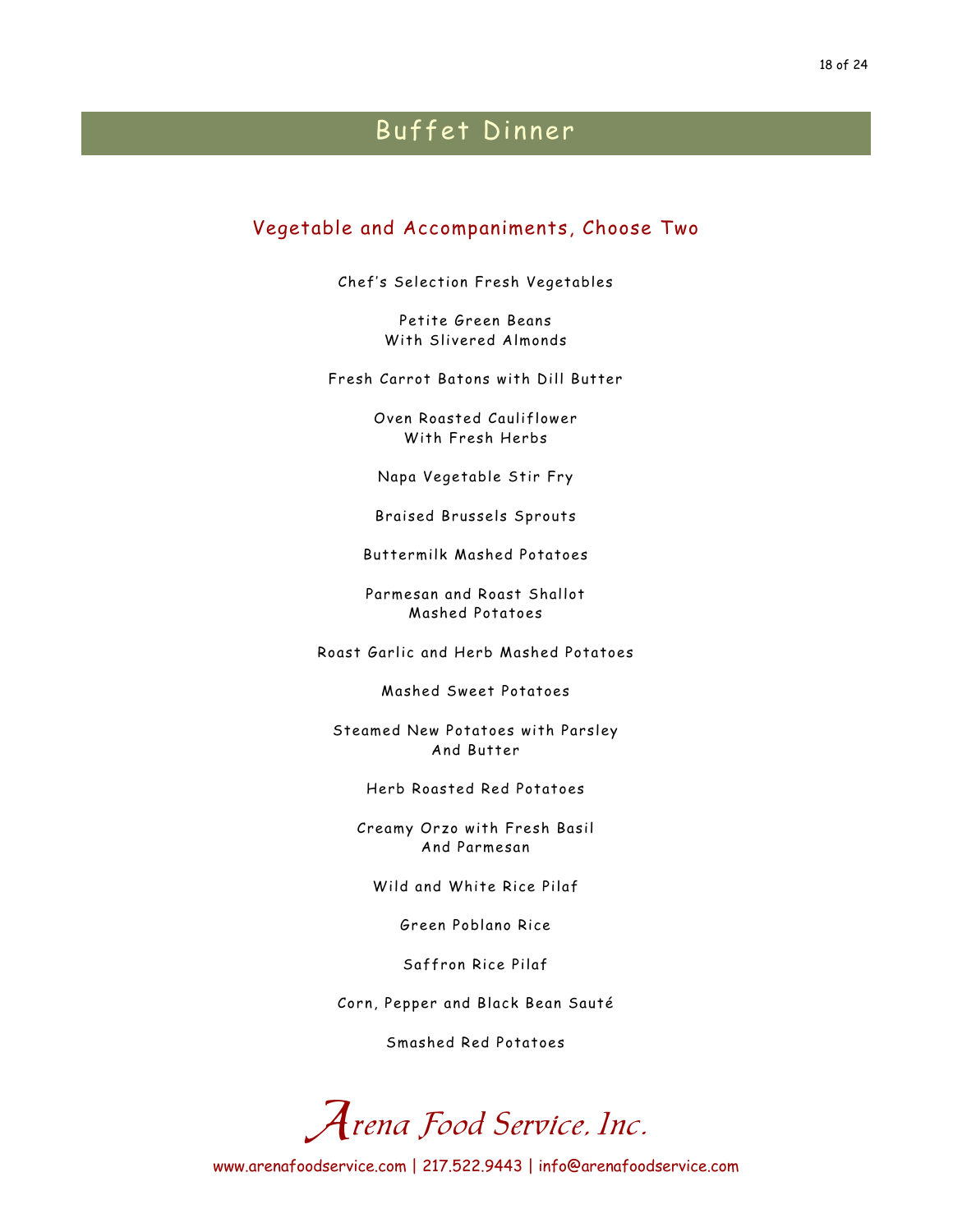### Vegetable and Accompaniments, Choose Two

Chef's Selection Fresh Vegetables

Petite Green Beans With Slivered Almonds

Fresh Carrot Batons with Dill Butter

Oven Roasted Cauliflower With Fresh Herbs

Napa Vegetable Stir Fry

Braised Brussels Sprouts

Buttermilk Mashed Potatoes

Parmesan and Roast Shallot Mashed Potatoes

Roast Garlic and Herb Mashed Potatoes

Mashed Sweet Potatoes

Steamed New Potatoes with Parsley And Butter

Herb Roasted Red Potatoes

Creamy Orzo with Fresh Basil And Parmesan

Wild and White Rice Pilaf

Green Poblano Rice

Saffron Rice Pilaf

Corn, Pepper and Black Bean Sauté

Smashed Red Potatoes

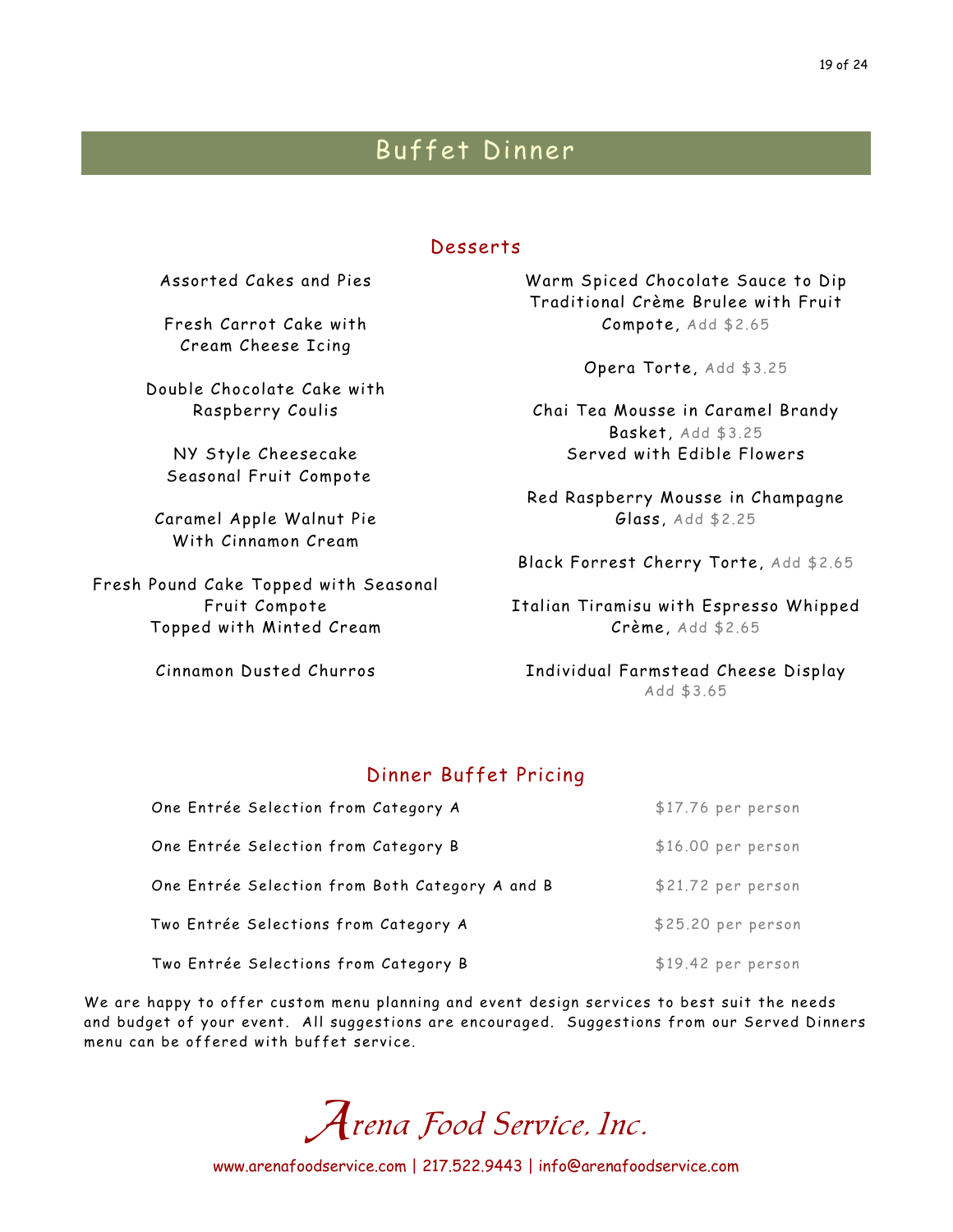### Desserts

Assorted Cakes and Pies

Fresh Carrot Cake with Cream Cheese Icing

Double Chocolate Cake with Raspberry Coulis

NY Style Cheesecake Seasonal Fruit Compote

Caramel Apple Walnut Pie With Cinnamon Cream

Fresh Pound Cake Topped with Seasonal Fruit Compote Topped with Minted Cream

Cinnamon Dusted Churros

Warm Spiced Chocolate Sauce to Dip Traditional Crème Brulee with Fruit Compote, Add \$2.65

Opera Torte, Add \$3.25

Chai Tea Mousse in Caramel Brandy Basket, Add \$3.25 Served with Edible Flowers

Red Raspberry Mousse in Champagne Glass, Add \$2.25

Black Forrest Cherry Torte, Add \$2.65

Italian Tiramisu with Espresso Whipped Crème, Add \$2.65

Individual Farmstead Cheese Display Add \$3.65

## Dinner Buffet Pricing

| One Entrée Selection from Category A            | $$17.76$ per person |
|-------------------------------------------------|---------------------|
| One Entrée Selection from Category B            | $$16.00$ per person |
| One Entrée Selection from Both Category A and B | \$21.72 per person  |
| Two Entrée Selections from Category A           | \$25.20 per person  |
| Two Entrée Selections from Category B           | $$19.42$ per person |

We are happy to offer custom menu planning and event design services to best suit the needs and budget of your event. All suggestions are encouraged. Suggestions from our Served Dinners menu can be offered with buffet service.

Arena Food Service, Inc.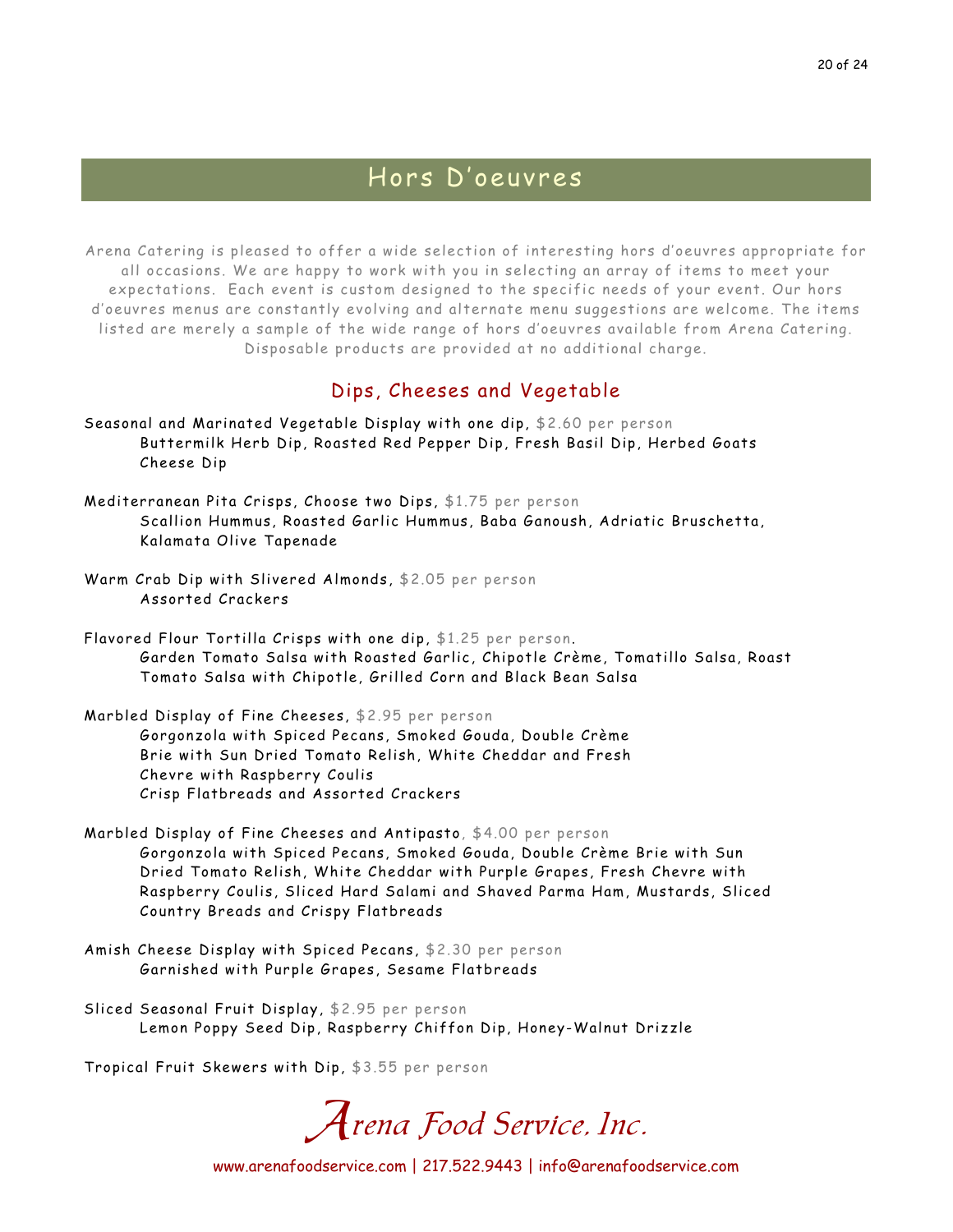## Hors D'oeuvres

Arena Catering is pleased to offer a wide selection of interesting hors d'oeuvres appropriate for all occasions. We are happy to work with you in selecting an array of items to meet your expectations. Each event is custom designed to the specific needs of your event. Our hors d'oeuvres menus are constantly evolving and alternate menu suggestions are welcome. The items listed are merely a sample of the wide range of hors d'oeuvres available from Arena Catering. Disposable products are provided at no additional charge.

## Dips, Cheeses and Vegetable

- Seasonal and Marinated Vegetable Display with one dip, \$2.60 per person Buttermilk Herb Dip, Roasted Red Pepper Dip, Fresh Basil Dip, Herbed Goats Cheese Dip
- Mediterranean Pita Crisps, Choose two Dips, \$1.75 per person Scallion Hummus, Roasted Garlic Hummus, Baba Ganoush, Adriatic Bruschetta, Kalamata Olive Tapenade
- Warm Crab Dip with Slivered Almonds, \$2.05 per person Assorted Crackers
- Flavored Flour Tortilla Crisps with one dip, \$1.25 per person. Garden Tomato Salsa with Roasted Garlic, Chipotle Crème, Tomatillo Salsa, Roast Tomato Salsa with Chipotle, Grilled Corn and Black Bean Salsa
- Marbled Display of Fine Cheeses, \$2.95 per person Gorgonzola with Spiced Pecans, Smoked Gouda, Double Crème Brie with Sun Dried Tomato Relish, White Cheddar and Fresh Chevre with Raspberry Coulis Crisp Flatbreads and Assorted Crackers
- Marbled Display of Fine Cheeses and Antipasto, \$4.00 per person Gorgonzola with Spiced Pecans, Smoked Gouda, Double Crème Brie with Sun Dried Tomato Relish, White Cheddar with Purple Grapes, Fresh Chevre with Raspberry Coulis, Sliced Hard Salami and Shaved Parma Ham, Mustards, Sliced Country Breads and Crispy Flatbreads
- Amish Cheese Display with Spiced Pecans, \$2.30 per person Garnished with Purple Grapes, Sesame Flatbreads
- Sliced Seasonal Fruit Display, \$2.95 per person Lemon Poppy Seed Dip, Raspberry Chiffon Dip, Honey-Walnut Drizzle

Tropical Fruit Skewers with Dip, \$3.55 per person

Arena Food Service, Inc.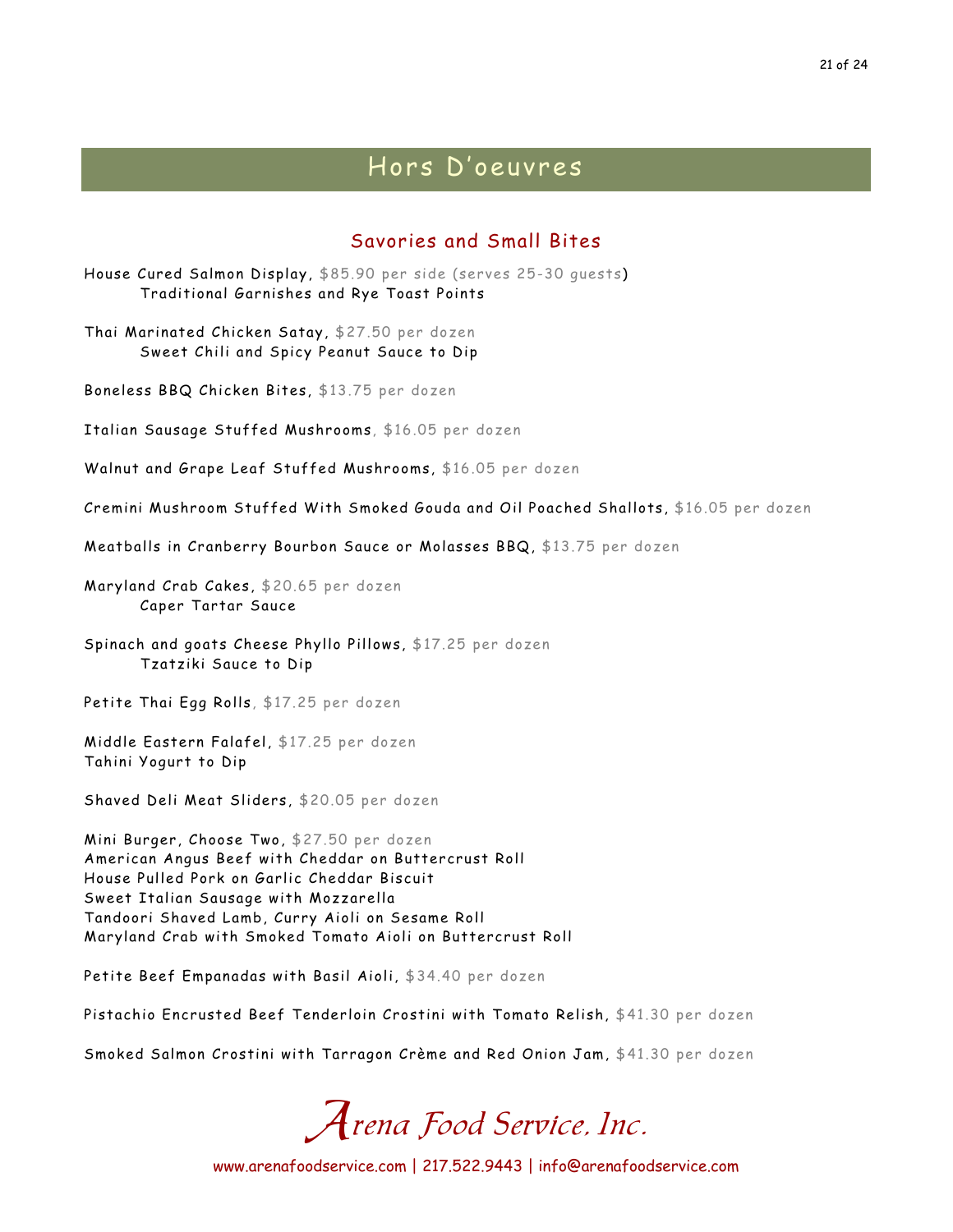## Hors D'oeuvres

## Savories and Small Bites

House Cured Salmon Display, \$85.90 per side (serves 25-30 guests) Traditional Garnishes and Rye Toast Points

Thai Marinated Chicken Satay, \$27.50 per dozen Sweet Chili and Spicy Peanut Sauce to Dip

Boneless BBQ Chicken Bites, \$13.75 per dozen

Italian Sausage Stuffed Mushrooms, \$16.05 per dozen

Walnut and Grape Leaf Stuffed Mushrooms, \$16.05 per dozen

Cremini Mushroom Stuffed With Smoked Gouda and Oil Poached Shallots, \$16.05 per dozen

Meatballs in Cranberry Bourbon Sauce or Molasses BBQ, \$13.75 per dozen

Maryland Crab Cakes, \$20.65 per dozen Caper Tartar Sauce

Spinach and goats Cheese Phyllo Pillows, \$17.25 per dozen Tzatziki Sauce to Dip

Petite Thai Egg Rolls, \$17.25 per dozen

Middle Eastern Falafel, \$17.25 per dozen Tahini Yogurt to Dip

Shaved Deli Meat Sliders, \$20.05 per dozen

Mini Burger, Choose Two, \$27.50 per dozen American Angus Beef with Cheddar on Buttercrust Roll House Pulled Pork on Garlic Cheddar Biscuit Sweet Italian Sausage with Mozzarella Tandoori Shaved Lamb, Curry Aioli on Sesame Roll Maryland Crab with Smoked Tomato Aioli on Buttercrust Roll

Petite Beef Empanadas with Basil Aioli, \$34.40 per dozen

Pistachio Encrusted Beef Tenderloin Crostini with Tomato Relish, \$41.30 per dozen

Smoked Salmon Crostini with Tarragon Crème and Red Onion Jam, \$41.30 per dozen

Arena Food Service, Inc.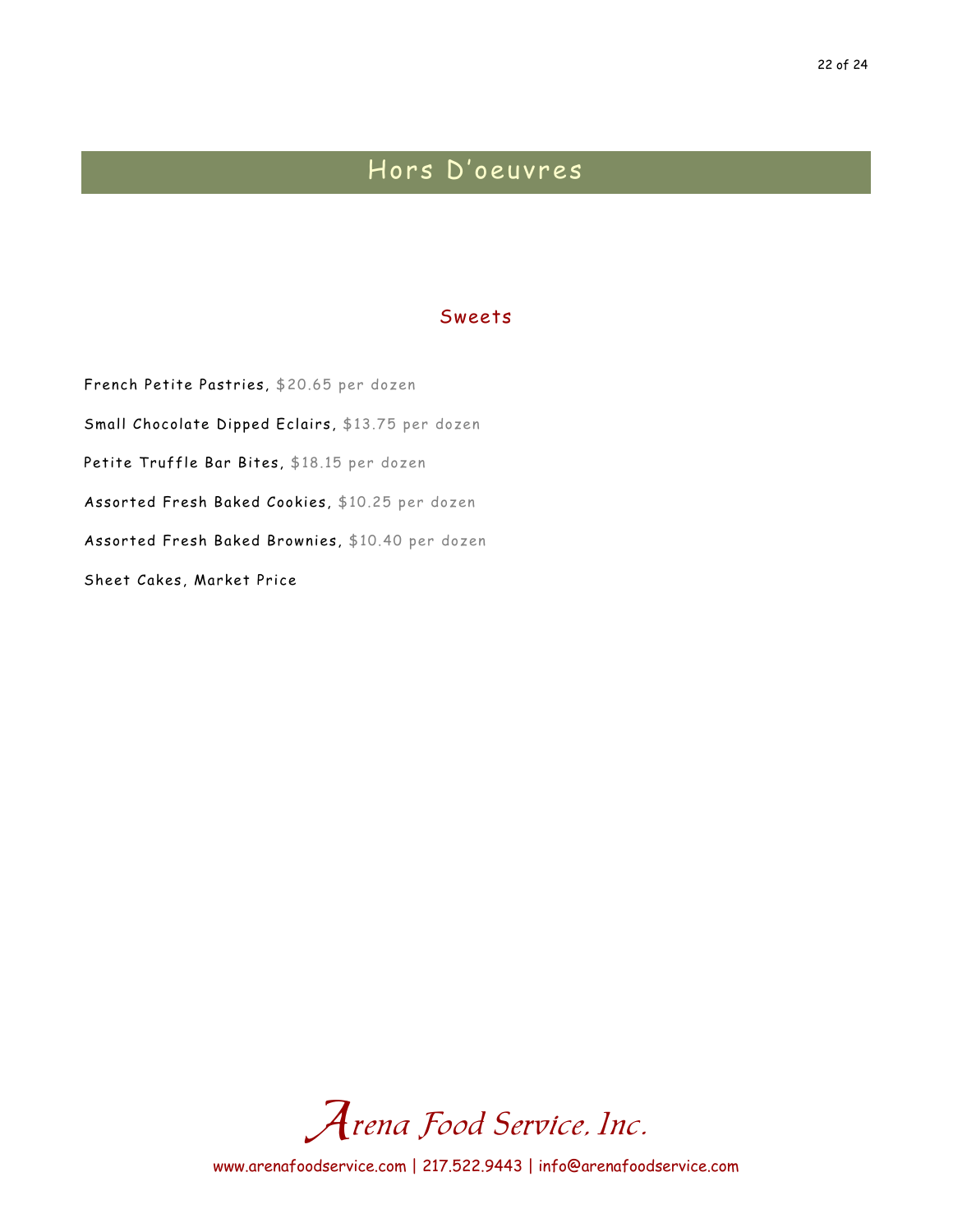## Hors D'oeuvres

#### Sweets

French Petite Pastries, \$20.65 per dozen Small Chocolate Dipped Eclairs, \$13.75 per dozen Petite Truffle Bar Bites, \$18.15 per dozen Assorted Fresh Baked Cookies, \$10.25 per dozen Assorted Fresh Baked Brownies, \$10.40 per dozen Sheet Cakes, Market Price

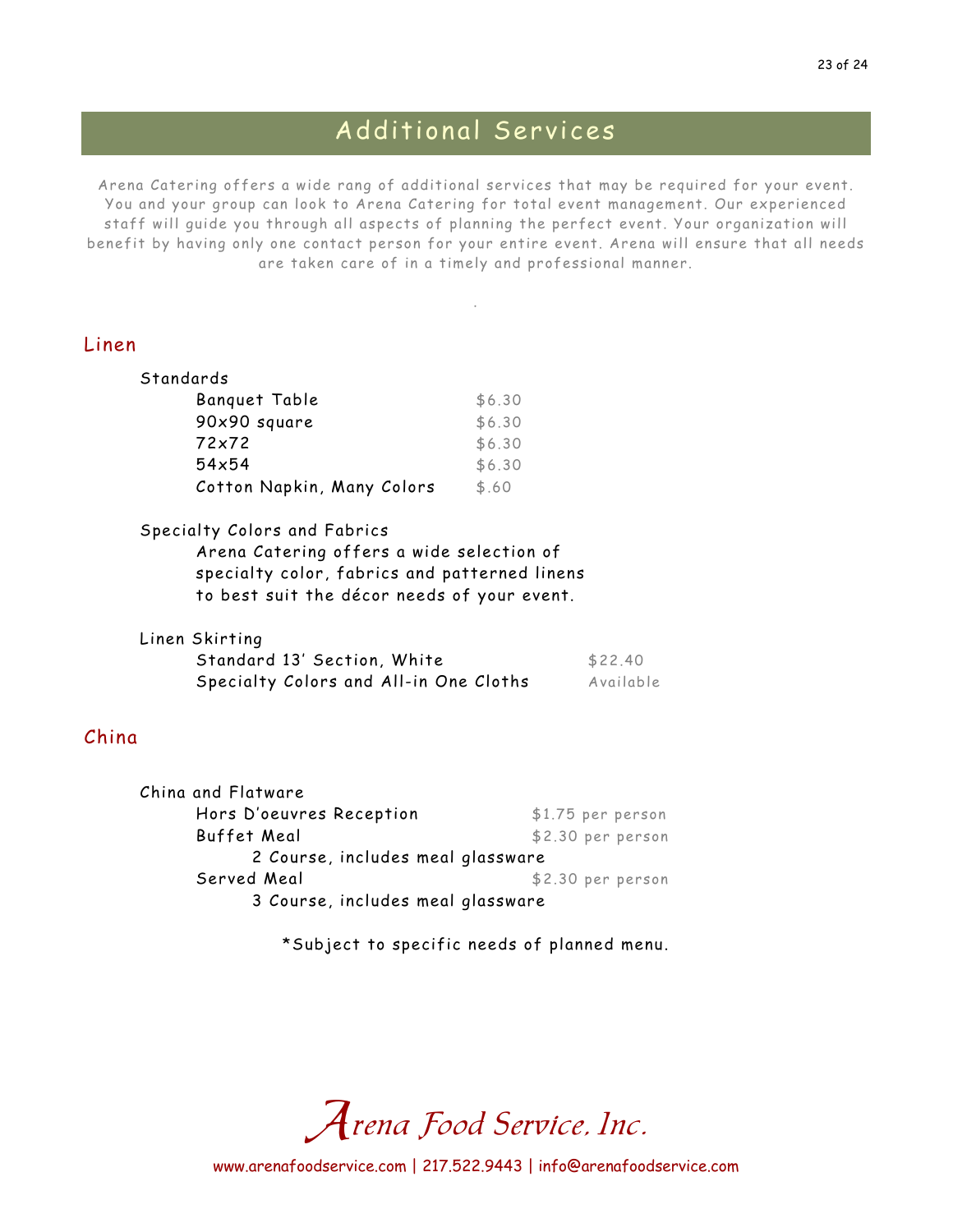## Additional Services

Arena Catering offers a wide rang of additional services that may be required for your event. You and your group can look to Arena Catering for total event management. Our experienced staff will guide you through all aspects of planning the perfect event. Your organization will benefit by having only one contact person for your entire event. Arena will ensure that all needs are taken care of in a timely and professional manner.

.

### Linen

| Standards                  |        |
|----------------------------|--------|
| Banguet Table              | \$6.30 |
| 90x90 square               | \$6.30 |
| 72x72                      | \$6.30 |
| $54\times54$               | \$6.30 |
| Cotton Napkin, Many Colors | \$.60  |

#### Specialty Colors and Fabrics

Arena Catering offers a wide selection of specialty color, fabrics and patterned linens to best suit the décor needs of your event.

| Linen Skirting                         |           |
|----------------------------------------|-----------|
| Standard 13' Section, White            | \$22.40   |
| Specialty Colors and All-in One Cloths | Available |

## China

| China and Flatware                |  |                    |
|-----------------------------------|--|--------------------|
| Hors D'oeuvres Reception          |  | $$1.75$ per person |
| Buffet Meal                       |  | \$2.30 per person  |
| 2 Course, includes meal glassware |  |                    |
| Served Meal                       |  | \$2.30 per person  |
| 3 Course, includes meal glassware |  |                    |

\*Subject to specific needs of planned menu.